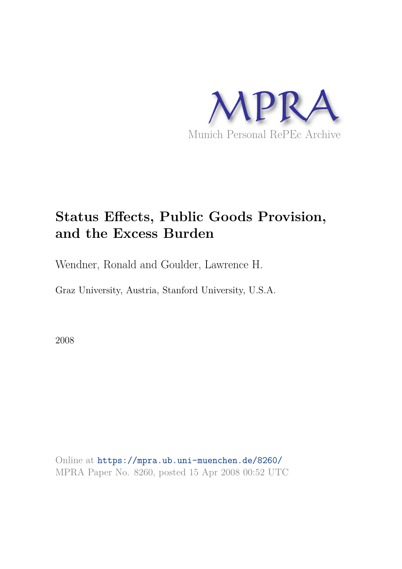

# **Status Effects, Public Goods Provision, and the Excess Burden**

Wendner, Ronald and Goulder, Lawrence H.

Graz University, Austria, Stanford University, U.S.A.

2008

Online at https://mpra.ub.uni-muenchen.de/8260/ MPRA Paper No. 8260, posted 15 Apr 2008 00:52 UTC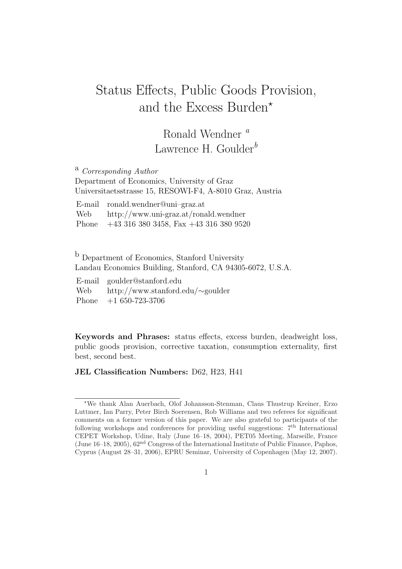# Status Effects, Public Goods Provision, and the Excess Burden<sup>\*</sup>

## Ronald Wendner  $^a$ Lawrence H. Goulder<sup>b</sup>

<sup>a</sup> Corresponding Author Department of Economics, University of Graz Universitaetsstrasse 15, RESOWI-F4, A-8010 Graz, Austria

E-mail ronald.wendner@uni–graz.at Web http://www.uni-graz.at/ronald.wendner Phone +43 316 380 3458, Fax +43 316 380 9520

<sup>b</sup> Department of Economics, Stanford University Landau Economics Building, Stanford, CA 94305-6072, U.S.A.

| E-mail goulder@stanford.edu                 |
|---------------------------------------------|
| Web http://www.stanford.edu/ $\sim$ goulder |
| Phone $+1650-723-3706$                      |

Keywords and Phrases: status effects, excess burden, deadweight loss, public goods provision, corrective taxation, consumption externality, first best, second best.

JEL Classification Numbers: D62, H23, H41

<sup>⋆</sup>We thank Alan Auerbach, Olof Johansson-Stenman, Claus Thustrup Kreiner, Erzo Luttmer, Ian Parry, Peter Birch Soerensen, Rob Williams and two referees for significant comments on a former version of this paper. We are also grateful to participants of the following workshops and conferences for providing useful suggestions:  $7<sup>th</sup>$  International CEPET Workshop, Udine, Italy (June 16–18, 2004), PET05 Meeting, Marseille, France (June  $16-18$ ,  $2005$ ),  $62<sup>nd</sup> Congress of the International Institute of Public Finance, Paphos,$ Cyprus (August 28–31, 2006), EPRU Seminar, University of Copenhagen (May 12, 2007).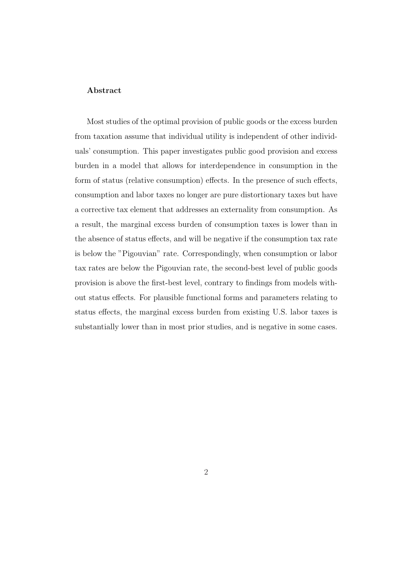#### Abstract

Most studies of the optimal provision of public goods or the excess burden from taxation assume that individual utility is independent of other individuals' consumption. This paper investigates public good provision and excess burden in a model that allows for interdependence in consumption in the form of status (relative consumption) effects. In the presence of such effects, consumption and labor taxes no longer are pure distortionary taxes but have a corrective tax element that addresses an externality from consumption. As a result, the marginal excess burden of consumption taxes is lower than in the absence of status effects, and will be negative if the consumption tax rate is below the "Pigouvian" rate. Correspondingly, when consumption or labor tax rates are below the Pigouvian rate, the second-best level of public goods provision is above the first-best level, contrary to findings from models without status effects. For plausible functional forms and parameters relating to status effects, the marginal excess burden from existing U.S. labor taxes is substantially lower than in most prior studies, and is negative in some cases.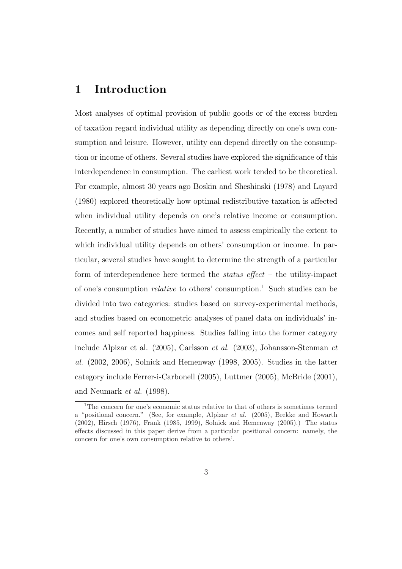## 1 Introduction

Most analyses of optimal provision of public goods or of the excess burden of taxation regard individual utility as depending directly on one's own consumption and leisure. However, utility can depend directly on the consumption or income of others. Several studies have explored the significance of this interdependence in consumption. The earliest work tended to be theoretical. For example, almost 30 years ago Boskin and Sheshinski (1978) and Layard (1980) explored theoretically how optimal redistributive taxation is affected when individual utility depends on one's relative income or consumption. Recently, a number of studies have aimed to assess empirically the extent to which individual utility depends on others' consumption or income. In particular, several studies have sought to determine the strength of a particular form of interdependence here termed the *status effect* – the utility-impact of one's consumption *relative* to others' consumption.<sup>1</sup> Such studies can be divided into two categories: studies based on survey-experimental methods, and studies based on econometric analyses of panel data on individuals' incomes and self reported happiness. Studies falling into the former category include Alpizar et al. (2005), Carlsson et al. (2003), Johansson-Stenman et al. (2002, 2006), Solnick and Hemenway (1998, 2005). Studies in the latter category include Ferrer-i-Carbonell (2005), Luttmer (2005), McBride (2001), and Neumark et al. (1998).

<sup>&</sup>lt;sup>1</sup>The concern for one's economic status relative to that of others is sometimes termed a "positional concern." (See, for example, Alpizar et al. (2005), Brekke and Howarth (2002), Hirsch (1976), Frank (1985, 1999), Solnick and Hemenway (2005).) The status effects discussed in this paper derive from a particular positional concern: namely, the concern for one's own consumption relative to others'.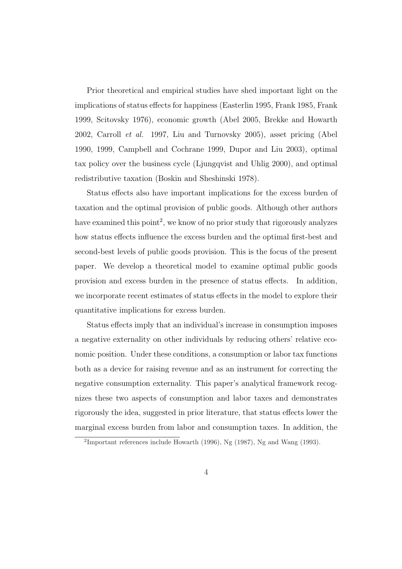Prior theoretical and empirical studies have shed important light on the implications of status effects for happiness (Easterlin 1995, Frank 1985, Frank 1999, Scitovsky 1976), economic growth (Abel 2005, Brekke and Howarth 2002, Carroll et al. 1997, Liu and Turnovsky 2005), asset pricing (Abel 1990, 1999, Campbell and Cochrane 1999, Dupor and Liu 2003), optimal tax policy over the business cycle (Ljungqvist and Uhlig 2000), and optimal redistributive taxation (Boskin and Sheshinski 1978).

Status effects also have important implications for the excess burden of taxation and the optimal provision of public goods. Although other authors have examined this point<sup>2</sup>, we know of no prior study that rigorously analyzes how status effects influence the excess burden and the optimal first-best and second-best levels of public goods provision. This is the focus of the present paper. We develop a theoretical model to examine optimal public goods provision and excess burden in the presence of status effects. In addition, we incorporate recent estimates of status effects in the model to explore their quantitative implications for excess burden.

Status effects imply that an individual's increase in consumption imposes a negative externality on other individuals by reducing others' relative economic position. Under these conditions, a consumption or labor tax functions both as a device for raising revenue and as an instrument for correcting the negative consumption externality. This paper's analytical framework recognizes these two aspects of consumption and labor taxes and demonstrates rigorously the idea, suggested in prior literature, that status effects lower the marginal excess burden from labor and consumption taxes. In addition, the

<sup>&</sup>lt;sup>2</sup>Important references include Howarth (1996), Ng (1987), Ng and Wang (1993).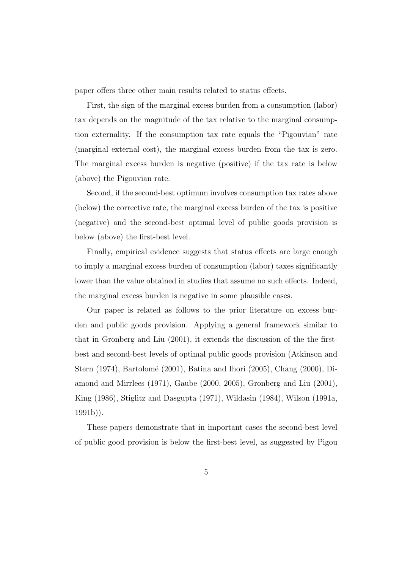paper offers three other main results related to status effects.

First, the sign of the marginal excess burden from a consumption (labor) tax depends on the magnitude of the tax relative to the marginal consumption externality. If the consumption tax rate equals the "Pigouvian" rate (marginal external cost), the marginal excess burden from the tax is zero. The marginal excess burden is negative (positive) if the tax rate is below (above) the Pigouvian rate.

Second, if the second-best optimum involves consumption tax rates above (below) the corrective rate, the marginal excess burden of the tax is positive (negative) and the second-best optimal level of public goods provision is below (above) the first-best level.

Finally, empirical evidence suggests that status effects are large enough to imply a marginal excess burden of consumption (labor) taxes significantly lower than the value obtained in studies that assume no such effects. Indeed, the marginal excess burden is negative in some plausible cases.

Our paper is related as follows to the prior literature on excess burden and public goods provision. Applying a general framework similar to that in Gronberg and Liu (2001), it extends the discussion of the the firstbest and second-best levels of optimal public goods provision (Atkinson and Stern (1974), Bartolomé (2001), Batina and Ihori (2005), Chang (2000), Diamond and Mirrlees (1971), Gaube (2000, 2005), Gronberg and Liu (2001), King (1986), Stiglitz and Dasgupta (1971), Wildasin (1984), Wilson (1991a, 1991b)).

These papers demonstrate that in important cases the second-best level of public good provision is below the first-best level, as suggested by Pigou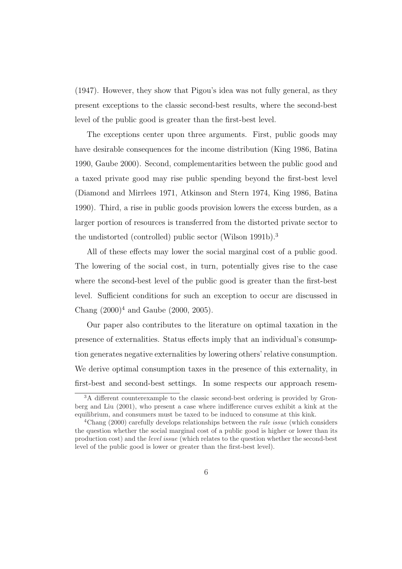(1947). However, they show that Pigou's idea was not fully general, as they present exceptions to the classic second-best results, where the second-best level of the public good is greater than the first-best level.

The exceptions center upon three arguments. First, public goods may have desirable consequences for the income distribution (King 1986, Batina 1990, Gaube 2000). Second, complementarities between the public good and a taxed private good may rise public spending beyond the first-best level (Diamond and Mirrlees 1971, Atkinson and Stern 1974, King 1986, Batina 1990). Third, a rise in public goods provision lowers the excess burden, as a larger portion of resources is transferred from the distorted private sector to the undistorted (controlled) public sector (Wilson 1991b).<sup>3</sup>

All of these effects may lower the social marginal cost of a public good. The lowering of the social cost, in turn, potentially gives rise to the case where the second-best level of the public good is greater than the first-best level. Sufficient conditions for such an exception to occur are discussed in Chang  $(2000)^4$  and Gaube  $(2000, 2005)$ .

Our paper also contributes to the literature on optimal taxation in the presence of externalities. Status effects imply that an individual's consumption generates negative externalities by lowering others' relative consumption. We derive optimal consumption taxes in the presence of this externality, in first-best and second-best settings. In some respects our approach resem-

<sup>3</sup>A different counterexample to the classic second-best ordering is provided by Gronberg and Liu (2001), who present a case where indifference curves exhibit a kink at the equilibrium, and consumers must be taxed to be induced to consume at this kink.

<sup>&</sup>lt;sup>4</sup>Chang (2000) carefully develops relationships between the *rule issue* (which considers the question whether the social marginal cost of a public good is higher or lower than its production cost) and the level issue (which relates to the question whether the second-best level of the public good is lower or greater than the first-best level).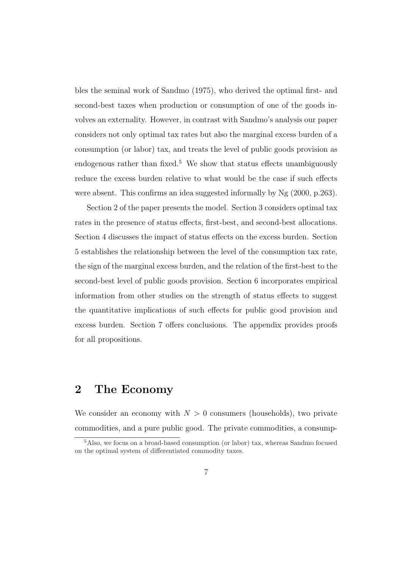bles the seminal work of Sandmo (1975), who derived the optimal first- and second-best taxes when production or consumption of one of the goods involves an externality. However, in contrast with Sandmo's analysis our paper considers not only optimal tax rates but also the marginal excess burden of a consumption (or labor) tax, and treats the level of public goods provision as endogenous rather than fixed.<sup>5</sup> We show that status effects unambiguously reduce the excess burden relative to what would be the case if such effects were absent. This confirms an idea suggested informally by Ng (2000, p.263).

Section 2 of the paper presents the model. Section 3 considers optimal tax rates in the presence of status effects, first-best, and second-best allocations. Section 4 discusses the impact of status effects on the excess burden. Section 5 establishes the relationship between the level of the consumption tax rate, the sign of the marginal excess burden, and the relation of the first-best to the second-best level of public goods provision. Section 6 incorporates empirical information from other studies on the strength of status effects to suggest the quantitative implications of such effects for public good provision and excess burden. Section 7 offers conclusions. The appendix provides proofs for all propositions.

### 2 The Economy

We consider an economy with  $N > 0$  consumers (households), two private commodities, and a pure public good. The private commodities, a consump-

<sup>5</sup>Also, we focus on a broad-based consumption (or labor) tax, whereas Sandmo focused on the optimal system of differentiated commodity taxes.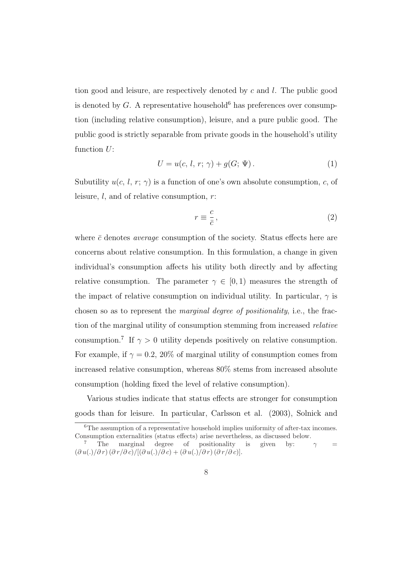tion good and leisure, are respectively denoted by  $c$  and  $l$ . The public good is denoted by G. A representative household<sup>6</sup> has preferences over consumption (including relative consumption), leisure, and a pure public good. The public good is strictly separable from private goods in the household's utility function  $U$ :

$$
U = u(c, l, r; \gamma) + g(G; \Psi). \tag{1}
$$

Subutility  $u(c, l, r; \gamma)$  is a function of one's own absolute consumption, c, of leisure,  $l$ , and of relative consumption,  $r$ :

$$
r \equiv \frac{c}{\bar{c}},\tag{2}
$$

where  $\bar{c}$  denotes *average* consumption of the society. Status effects here are concerns about relative consumption. In this formulation, a change in given individual's consumption affects his utility both directly and by affecting relative consumption. The parameter  $\gamma \in [0,1)$  measures the strength of the impact of relative consumption on individual utility. In particular,  $\gamma$  is chosen so as to represent the marginal degree of positionality, i.e., the fraction of the marginal utility of consumption stemming from increased relative consumption.<sup>7</sup> If  $\gamma > 0$  utility depends positively on relative consumption. For example, if  $\gamma = 0.2$ , 20% of marginal utility of consumption comes from increased relative consumption, whereas 80% stems from increased absolute consumption (holding fixed the level of relative consumption).

Various studies indicate that status effects are stronger for consumption goods than for leisure. In particular, Carlsson et al. (2003), Solnick and

<sup>&</sup>lt;sup>6</sup>The assumption of a representative household implies uniformity of after-tax incomes. Consumption externalities (status effects) arise nevertheless, as discussed below.

The marginal degree of positionality is given by:  $\gamma =$  $(\partial u(.)/\partial r) (\partial r/\partial c)/[(\partial u(.)/\partial c) + (\partial u(.)/\partial r)(\partial r/\partial c)].$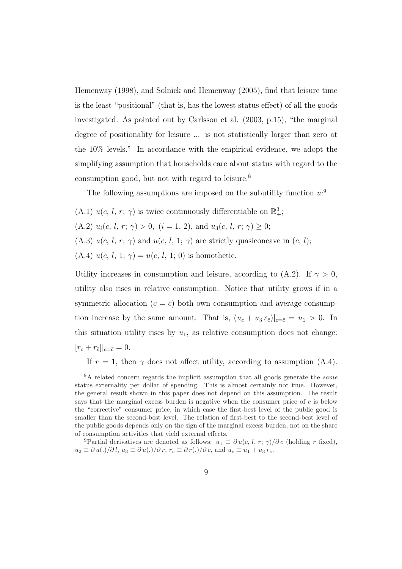Hemenway (1998), and Solnick and Hemenway (2005), find that leisure time is the least "positional" (that is, has the lowest status effect) of all the goods investigated. As pointed out by Carlsson et al. (2003, p.15), "the marginal degree of positionality for leisure ... is not statistically larger than zero at the 10% levels." In accordance with the empirical evidence, we adopt the simplifying assumption that households care about status with regard to the consumption good, but not with regard to leisure.<sup>8</sup>

The following assumptions are imposed on the subutility function  $u$ <sup>9</sup>

(A.1)  $u(c, l, r; \gamma)$  is twice continuously differentiable on  $\mathbb{R}^3_+$ ; (A.2)  $u_i(c, l, r; \gamma) > 0$ ,  $(i = 1, 2)$ , and  $u_3(c, l, r; \gamma) \geq 0$ ; (A.3)  $u(c, l, r; \gamma)$  and  $u(c, l, 1; \gamma)$  are strictly quasiconcave in  $(c, l);$ (A.4)  $u(c, l, 1; \gamma) = u(c, l, 1; 0)$  is homothetic.

Utility increases in consumption and leisure, according to (A.2). If  $\gamma > 0$ , utility also rises in relative consumption. Notice that utility grows if in a symmetric allocation  $(c = \overline{c})$  both own consumption and average consumption increase by the same amount. That is,  $(u_c + u_3 r_{\bar{c}})|_{c=\bar{c}} = u_1 > 0$ . In this situation utility rises by  $u_1$ , as relative consumption does not change:  $[r_c + r_{\bar{c}}]|_{c=\bar{c}} = 0.$ 

If  $r = 1$ , then  $\gamma$  does not affect utility, according to assumption (A.4).

<sup>9</sup>Partial derivatives are denoted as follows:  $u_1 \equiv \partial u(c, l, r; \gamma)/\partial c$  (holding r fixed),  $u_2 \equiv \partial u(.)/\partial l, u_3 \equiv \partial u(.)/\partial r, r_c \equiv \partial r(.)/\partial c, \text{ and } u_c \equiv u_1 + u_3 r_c.$ 

<sup>&</sup>lt;sup>8</sup>A related concern regards the implicit assumption that all goods generate the *same* status externality per dollar of spending. This is almost certainly not true. However, the general result shown in this paper does not depend on this assumption. The result says that the marginal excess burden is negative when the consumer price of c is below the "corrective" consumer price, in which case the first-best level of the public good is smaller than the second-best level. The relation of first-best to the second-best level of the public goods depends only on the sign of the marginal excess burden, not on the share of consumption activities that yield external effects.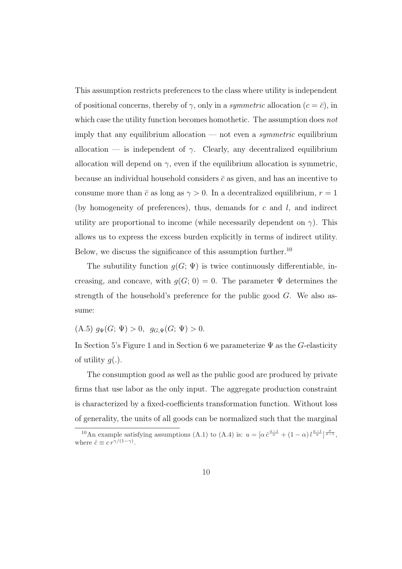This assumption restricts preferences to the class where utility is independent of positional concerns, thereby of  $\gamma$ , only in a *symmetric* allocation ( $c = \bar{c}$ ), in which case the utility function becomes homothetic. The assumption does not imply that any equilibrium allocation — not even a *symmetric* equilibrium allocation — is independent of  $\gamma$ . Clearly, any decentralized equilibrium allocation will depend on  $\gamma$ , even if the equilibrium allocation is symmetric, because an individual household considers  $\bar{c}$  as given, and has an incentive to consume more than  $\bar{c}$  as long as  $\gamma > 0$ . In a decentralized equilibrium,  $r = 1$ (by homogeneity of preferences), thus, demands for  $c$  and  $l$ , and indirect utility are proportional to income (while necessarily dependent on  $\gamma$ ). This allows us to express the excess burden explicitly in terms of indirect utility. Below, we discuss the significance of this assumption further.<sup>10</sup>

The subutility function  $g(G; \Psi)$  is twice continuously differentiable, increasing, and concave, with  $g(G; 0) = 0$ . The parameter  $\Psi$  determines the strength of the household's preference for the public good  $G$ . We also assume:

(A.5)  $g_{\Psi}(G; \Psi) > 0$ ,  $g_{G,\Psi}(G; \Psi) > 0$ .

In Section 5's Figure 1 and in Section 6 we parameterize  $\Psi$  as the G-elasticity of utility  $q(.)$ .

The consumption good as well as the public good are produced by private firms that use labor as the only input. The aggregate production constraint is characterized by a fixed-coefficients transformation function. Without loss of generality, the units of all goods can be normalized such that the marginal

<sup>&</sup>lt;sup>10</sup>An example satisfying assumptions (A.1) to (A.4) is:  $u = [\alpha \hat{c}^{\frac{\sigma-1}{\sigma}} + (1-\alpha) \hat{c}^{\frac{\sigma-1}{\sigma}}]_{\sigma=1}^{\frac{\sigma}{\sigma-1}},$ where  $\hat{c} \equiv c r^{\gamma/(1-\gamma)}$ .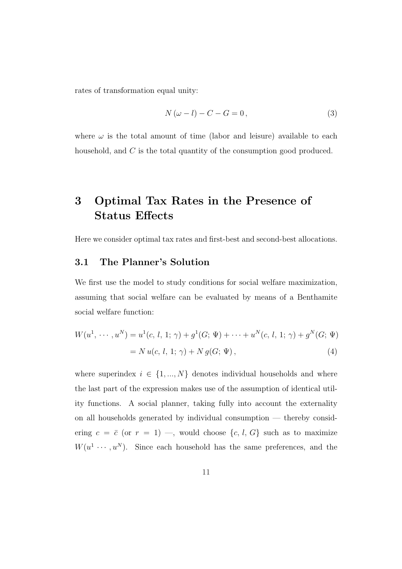rates of transformation equal unity:

$$
N(\omega - l) - C - G = 0,\t\t(3)
$$

where  $\omega$  is the total amount of time (labor and leisure) available to each household, and C is the total quantity of the consumption good produced.

## 3 Optimal Tax Rates in the Presence of Status Effects

Here we consider optimal tax rates and first-best and second-best allocations.

#### 3.1 The Planner's Solution

We first use the model to study conditions for social welfare maximization, assuming that social welfare can be evaluated by means of a Benthamite social welfare function:

$$
W(u1, ..., uN) = u1(c, l, 1; \gamma) + g1(G; \Psi) + ... + uN(c, l, 1; \gamma) + gN(G; \Psi)
$$
  
=  $N u(c, l, 1; \gamma) + N g(G; \Psi)$ , (4)

where superindex  $i \in \{1, ..., N\}$  denotes individual households and where the last part of the expression makes use of the assumption of identical utility functions. A social planner, taking fully into account the externality on all households generated by individual consumption — thereby considering  $c = \bar{c}$  (or  $r = 1$ ) —, would choose  $\{c, l, G\}$  such as to maximize  $W(u^1 \cdots, u^N)$ . Since each household has the same preferences, and the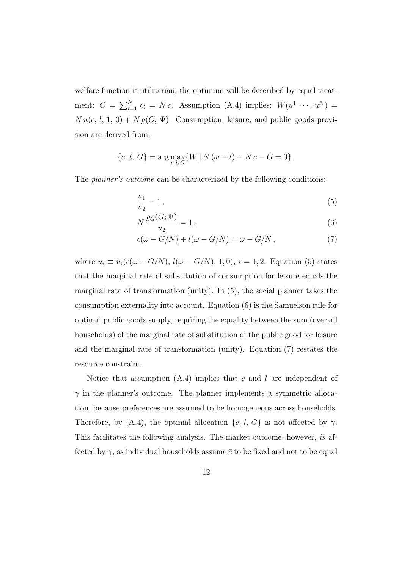welfare function is utilitarian, the optimum will be described by equal treatment:  $C = \sum_{i=1}^{N} c_i = Nc$ . Assumption (A.4) implies:  $W(u^1, \dots, u^N) =$  $N u(c, l, 1; 0) + N g(G; \Psi)$ . Consumption, leisure, and public goods provision are derived from:

$$
\{c, l, G\} = \arg \max_{c, l, G} \{W \mid N (\omega - l) - N c - G = 0\}.
$$

The *planner's outcome* can be characterized by the following conditions:

$$
\frac{u_1}{u_2} = 1\,,\tag{5}
$$

$$
N\frac{g_G(G;\Psi)}{u_2} = 1\,,\tag{6}
$$

$$
c(\omega - G/N) + l(\omega - G/N) = \omega - G/N , \qquad (7)
$$

where  $u_i \equiv u_i(c(\omega - G/N), l(\omega - G/N), 1; 0), i = 1, 2$ . Equation (5) states that the marginal rate of substitution of consumption for leisure equals the marginal rate of transformation (unity). In (5), the social planner takes the consumption externality into account. Equation (6) is the Samuelson rule for optimal public goods supply, requiring the equality between the sum (over all households) of the marginal rate of substitution of the public good for leisure and the marginal rate of transformation (unity). Equation (7) restates the resource constraint.

Notice that assumption  $(A.4)$  implies that c and l are independent of  $\gamma$  in the planner's outcome. The planner implements a symmetric allocation, because preferences are assumed to be homogeneous across households. Therefore, by (A.4), the optimal allocation  $\{c, l, G\}$  is not affected by  $\gamma$ . This facilitates the following analysis. The market outcome, however, is affected by  $\gamma$ , as individual households assume  $\bar{c}$  to be fixed and not to be equal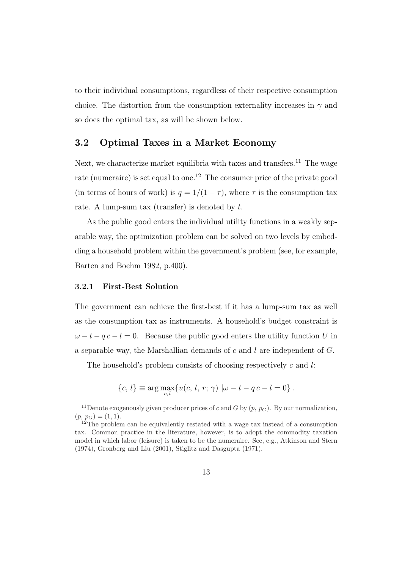to their individual consumptions, regardless of their respective consumption choice. The distortion from the consumption externality increases in  $\gamma$  and so does the optimal tax, as will be shown below.

### 3.2 Optimal Taxes in a Market Economy

Next, we characterize market equilibria with taxes and transfers.<sup>11</sup> The wage rate (numeraire) is set equal to one.<sup>12</sup> The consumer price of the private good (in terms of hours of work) is  $q = 1/(1 - \tau)$ , where  $\tau$  is the consumption tax rate. A lump-sum tax (transfer) is denoted by  $t$ .

As the public good enters the individual utility functions in a weakly separable way, the optimization problem can be solved on two levels by embedding a household problem within the government's problem (see, for example, Barten and Boehm 1982, p.400).

#### 3.2.1 First-Best Solution

The government can achieve the first-best if it has a lump-sum tax as well as the consumption tax as instruments. A household's budget constraint is  $\omega - t - q c - l = 0$ . Because the public good enters the utility function U in a separable way, the Marshallian demands of c and  $l$  are independent of  $G$ .

The household's problem consists of choosing respectively  $c$  and  $l$ :

$$
\{c, l\} \equiv \arg \max_{c, l} \{u(c, l, r; \gamma) | \omega - t - qc - l = 0\}.
$$

<sup>&</sup>lt;sup>11</sup>Denote exogenously given producer prices of c and G by  $(p, p_G)$ . By our normalization,  $(p, p_G) = (1, 1).$ 

 $12$ The problem can be equivalently restated with a wage tax instead of a consumption tax. Common practice in the literature, however, is to adopt the commodity taxation model in which labor (leisure) is taken to be the numeraire. See, e.g., Atkinson and Stern (1974), Gronberg and Liu (2001), Stiglitz and Dasgupta (1971).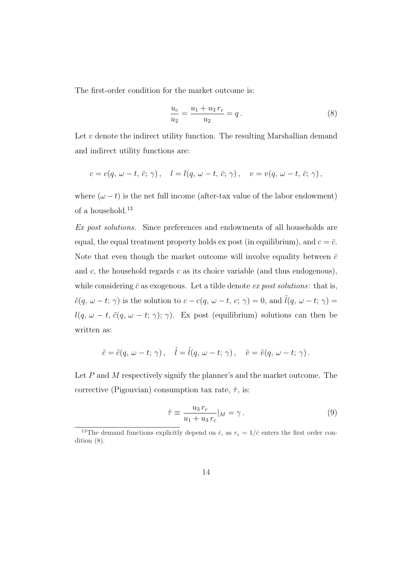The first-order condition for the market outcome is:

$$
\frac{u_c}{u_2} = \frac{u_1 + u_3 r_c}{u_2} = q.
$$
\n(8)

Let  $v$  denote the indirect utility function. The resulting Marshallian demand and indirect utility functions are:

$$
c = c(q, \omega - t, \overline{c}; \gamma), \quad l = l(q, \omega - t, \overline{c}; \gamma), \quad v = v(q, \omega - t, \overline{c}; \gamma),
$$

where  $(\omega - t)$  is the net full income (after-tax value of the labor endowment) of a household.<sup>13</sup>

Ex post solutions. Since preferences and endowments of all households are equal, the equal treatment property holds ex post (in equilibrium), and  $c = \bar{c}$ . Note that even though the market outcome will involve equality between  $\bar{c}$ and  $c$ , the household regards  $c$  as its choice variable (and thus endogenous), while considering  $\bar{c}$  as exogenous. Let a tilde denote ex post solutions: that is,  $\tilde{c}(q, \omega - t; \gamma)$  is the solution to  $c - c(q, \omega - t, c; \gamma) = 0$ , and  $\tilde{l}(q, \omega - t; \gamma) = 0$  $l(q, \omega - t, \tilde{c}(q, \omega - t; \gamma); \gamma)$ . Ex post (equilibrium) solutions can then be written as:

$$
\tilde{c} = \tilde{c}(q, \, \omega - t; \, \gamma) \,, \quad \tilde{l} = \tilde{l}(q, \, \omega - t; \, \gamma) \,, \quad \tilde{v} = \tilde{v}(q, \, \omega - t; \, \gamma) \,.
$$

Let  $P$  and  $M$  respectively signify the planner's and the market outcome. The corrective (Pigouvian) consumption tax rate,  $\hat{\tau}$ , is:

$$
\hat{\tau} \equiv \frac{u_3 r_c}{u_1 + u_3 r_c} |_{M} = \gamma . \tag{9}
$$

<sup>&</sup>lt;sup>13</sup>The demand functions explicitly depend on  $\bar{c}$ , as  $r_c = 1/\bar{c}$  enters the first order condition (8).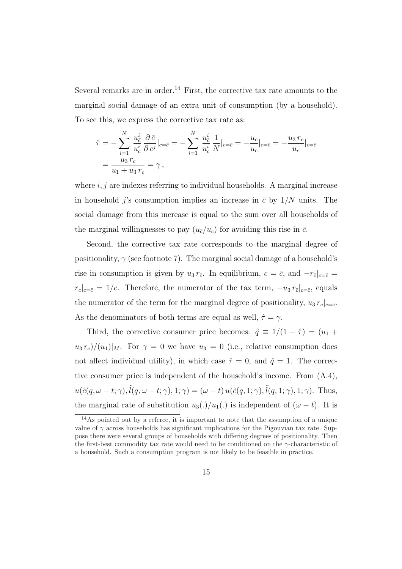Several remarks are in order.<sup>14</sup> First, the corrective tax rate amounts to the marginal social damage of an extra unit of consumption (by a household). To see this, we express the corrective tax rate as:

$$
\hat{\tau} = -\sum_{i=1}^{N} \frac{u_{\bar{c}}^{i}}{u_{c}^{i}} \frac{\partial \bar{c}}{\partial c^{j}}|_{c=\bar{c}} = -\sum_{i=1}^{N} \frac{u_{\bar{c}}^{i}}{u_{c}^{i}} \frac{1}{N}|_{c=\bar{c}} = -\frac{u_{\bar{c}}}{u_{c}}|_{c=\bar{c}} = -\frac{u_{3} r_{\bar{c}}}{u_{c}}|_{c=\bar{c}}
$$

$$
= \frac{u_{3} r_{c}}{u_{1} + u_{3} r_{c}} = \gamma,
$$

where  $i, j$  are indexes referring to individual households. A marginal increase in household *j*'s consumption implies an increase in  $\bar{c}$  by  $1/N$  units. The social damage from this increase is equal to the sum over all households of the marginal willingnesses to pay  $(u_{\bar{c}}/u_c)$  for avoiding this rise in  $\bar{c}$ .

Second, the corrective tax rate corresponds to the marginal degree of positionality,  $\gamma$  (see footnote 7). The marginal social damage of a household's rise in consumption is given by  $u_3 r_{\bar{c}}$ . In equilibrium,  $c = \bar{c}$ , and  $-r_{\bar{c}}|_{c=\bar{c}} =$  $r_c|_{c=\bar{c}} = 1/c$ . Therefore, the numerator of the tax term,  $-u_3 r_{\bar{c}}|_{c=\bar{c}}$ , equals the numerator of the term for the marginal degree of positionality,  $u_3 r_c|_{c=\bar{c}}$ . As the denominators of both terms are equal as well,  $\hat{\tau} = \gamma$ .

Third, the corrective consumer price becomes:  $\hat{q} \equiv 1/(1 - \hat{\tau}) = (u_1 +$  $u_3 r_c)/(u_1)|_M$ . For  $\gamma = 0$  we have  $u_3 = 0$  (i.e., relative consumption does not affect individual utility), in which case  $\hat{\tau} = 0$ , and  $\hat{q} = 1$ . The corrective consumer price is independent of the household's income. From (A.4),  $u(\tilde{c}(q, \omega-t; \gamma), \tilde{l}(q, \omega-t; \gamma), 1; \gamma) = (\omega-t) u(\tilde{c}(q, 1; \gamma), \tilde{l}(q, 1; \gamma), 1; \gamma)$ . Thus, the marginal rate of substitution  $u_3(.)/u_1(.)$  is independent of  $(\omega - t)$ . It is

<sup>&</sup>lt;sup>14</sup>As pointed out by a referee, it is important to note that the assumption of a unique value of  $\gamma$  across households has significant implications for the Pigouvian tax rate. Suppose there were several groups of households with differing degrees of positionality. Then the first-best commodity tax rate would need to be conditioned on the  $\gamma$ -characteristic of a household. Such a consumption program is not likely to be feasible in practice.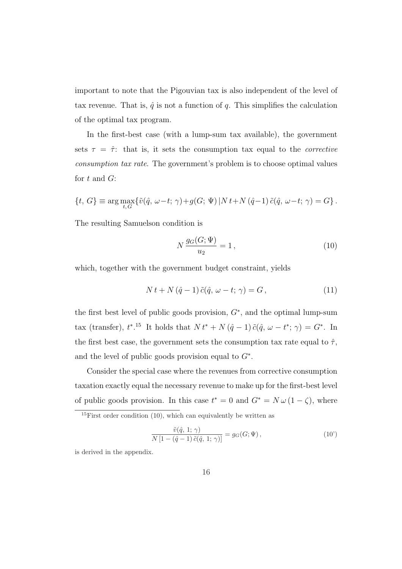important to note that the Pigouvian tax is also independent of the level of tax revenue. That is,  $\hat{q}$  is not a function of  $q$ . This simplifies the calculation of the optimal tax program.

In the first-best case (with a lump-sum tax available), the government sets  $\tau = \hat{\tau}$ : that is, it sets the consumption tax equal to the *corrective* consumption tax rate. The government's problem is to choose optimal values for  $t$  and  $G$ :

$$
\{t, G\} \equiv \arg \max_{t, G} \{ \tilde{v}(\hat{q}, \omega - t; \gamma) + g(G; \Psi) \, | N \, t + N \, (\hat{q} - 1) \, \tilde{c}(\hat{q}, \omega - t; \, \gamma) = G \} \, .
$$

The resulting Samuelson condition is

$$
N\frac{g_G(G; \Psi)}{u_2} = 1\,,\tag{10}
$$

which, together with the government budget constraint, yields

$$
N t + N \left(\hat{q} - 1\right) \tilde{c} \left(\hat{q}, \, \omega - t; \, \gamma\right) = G\,,\tag{11}
$$

the first best level of public goods provision,  $G^*$ , and the optimal lump-sum tax (transfer),  $t^*$ .<sup>15</sup> It holds that  $N t^* + N(\hat{q}-1) \tilde{c}(\hat{q}, \omega - t^*; \gamma) = G^*$ . In the first best case, the government sets the consumption tax rate equal to  $\hat{\tau}$ , and the level of public goods provision equal to  $G^*$ .

Consider the special case where the revenues from corrective consumption taxation exactly equal the necessary revenue to make up for the first-best level of public goods provision. In this case  $t^* = 0$  and  $G^* = N \omega (1 - \zeta)$ , where

$$
\frac{\tilde{v}(\hat{q}, 1; \gamma)}{N\left[1 - (\hat{q} - 1)\tilde{c}(\hat{q}, 1; \gamma)\right]} = g_G(G; \Psi),\tag{10'}
$$

is derived in the appendix.

<sup>15</sup>First order condition (10), which can equivalently be written as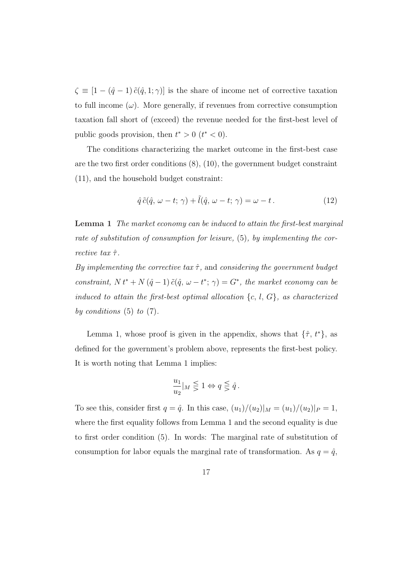$\zeta \equiv [1 - (\hat{q} - 1) \tilde{c}(\hat{q}, 1; \gamma)]$  is the share of income net of corrective taxation to full income  $(\omega)$ . More generally, if revenues from corrective consumption taxation fall short of (exceed) the revenue needed for the first-best level of public goods provision, then  $t^* > 0$   $(t^* < 0)$ .

The conditions characterizing the market outcome in the first-best case are the two first order conditions (8), (10), the government budget constraint (11), and the household budget constraint:

$$
\hat{q}\,\tilde{c}(\hat{q},\,\omega-t;\,\gamma) + \tilde{l}(\hat{q},\,\omega-t;\,\gamma) = \omega-t.\tag{12}
$$

Lemma 1 The market economy can be induced to attain the first-best marginal rate of substitution of consumption for leisure, (5), by implementing the corrective tax  $\hat{\tau}$ .

By implementing the corrective tax  $\hat{\tau}$ , and considering the government budget constraint,  $N t^* + N (\hat{q} - 1) \tilde{c}(\hat{q}, \omega - t^*; \gamma) = G^*$ , the market economy can be induced to attain the first-best optimal allocation  $\{c, l, G\}$ , as characterized by conditions  $(5)$  to  $(7)$ .

Lemma 1, whose proof is given in the appendix, shows that  $\{\hat{\tau}, t^*\}$ , as defined for the government's problem above, represents the first-best policy. It is worth noting that Lemma 1 implies:

$$
\frac{u_1}{u_2}|_M\lesseqgtr 1\Leftrightarrow q\lesseqgtr \hat q\,.
$$

To see this, consider first  $q = \hat{q}$ . In this case,  $(u_1)/(u_2)|_M = (u_1)/(u_2)|_P = 1$ , where the first equality follows from Lemma 1 and the second equality is due to first order condition (5). In words: The marginal rate of substitution of consumption for labor equals the marginal rate of transformation. As  $q = \hat{q}$ ,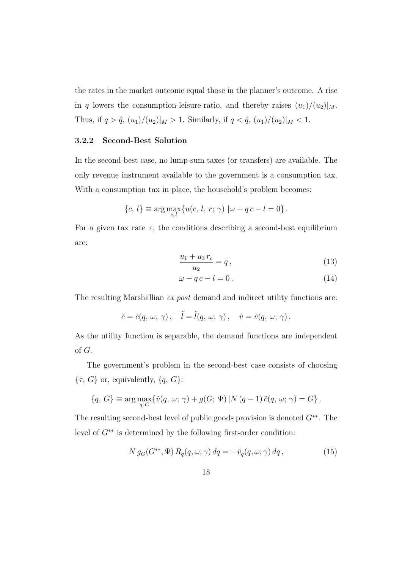the rates in the market outcome equal those in the planner's outcome. A rise in q lowers the consumption-leisure-ratio, and thereby raises  $(u_1)/(u_2)|_M$ . Thus, if  $q > \hat{q}$ ,  $(u_1)/(u_2)|_M > 1$ . Similarly, if  $q < \hat{q}$ ,  $(u_1)/(u_2)|_M < 1$ .

#### 3.2.2 Second-Best Solution

In the second-best case, no lump-sum taxes (or transfers) are available. The only revenue instrument available to the government is a consumption tax. With a consumption tax in place, the household's problem becomes:

$$
\{c, l\} \equiv \arg \max_{c, l} \{u(c, l, r; \gamma) | \omega - qc - l = 0\}.
$$

For a given tax rate  $\tau$ , the conditions describing a second-best equilibrium are:

$$
\frac{u_1 + u_3 r_c}{u_2} = q, \tag{13}
$$

$$
\omega - q c - l = 0. \tag{14}
$$

The resulting Marshallian ex post demand and indirect utility functions are:

$$
\tilde{c} = \tilde{c}(q, \, \omega; \, \gamma) \,, \quad \tilde{l} = \tilde{l}(q, \, \omega; \, \gamma) \,, \quad \tilde{v} = \tilde{v}(q, \, \omega; \, \gamma) \,.
$$

As the utility function is separable, the demand functions are independent of G.

The government's problem in the second-best case consists of choosing  $\{\tau, G\}$  or, equivalently,  $\{q, G\}$ :

$$
\{q,\,G\}\equiv\arg\max_{q,\,G}\{\tilde{v}(q,\,\omega;\,\gamma)+g(G;\,\Psi)\,|N\,(q-1)\,\tilde{c}(q,\,\omega;\,\gamma)=G\}\,.
$$

The resulting second-best level of public goods provision is denoted  $G^{**}$ . The level of  $G^{**}$  is determined by the following first-order condition:

$$
N g_G(G^{**}, \Psi) R_q(q, \omega; \gamma) dq = -\tilde{v}_q(q, \omega; \gamma) dq , \qquad (15)
$$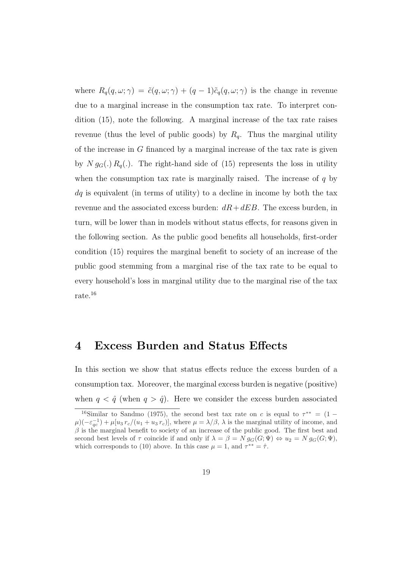where  $R_q(q,\omega;\gamma) = \tilde{c}(q,\omega;\gamma) + (q-1)\tilde{c}_q(q,\omega;\gamma)$  is the change in revenue due to a marginal increase in the consumption tax rate. To interpret condition (15), note the following. A marginal increase of the tax rate raises revenue (thus the level of public goods) by  $R_q$ . Thus the marginal utility of the increase in  $G$  financed by a marginal increase of the tax rate is given by  $N g_G(.) R_q(.)$ . The right-hand side of (15) represents the loss in utility when the consumption tax rate is marginally raised. The increase of  $q$  by  $dq$  is equivalent (in terms of utility) to a decline in income by both the tax revenue and the associated excess burden:  $dR + dEB$ . The excess burden, in turn, will be lower than in models without status effects, for reasons given in the following section. As the public good benefits all households, first-order condition (15) requires the marginal benefit to society of an increase of the public good stemming from a marginal rise of the tax rate to be equal to every household's loss in marginal utility due to the marginal rise of the tax rate.<sup>16</sup>

### 4 Excess Burden and Status Effects

In this section we show that status effects reduce the excess burden of a consumption tax. Moreover, the marginal excess burden is negative (positive) when  $q < \hat{q}$  (when  $q > \hat{q}$ ). Here we consider the excess burden associated

<sup>&</sup>lt;sup>16</sup>Similar to Sandmo (1975), the second best tax rate on c is equal to  $\tau^{**} = (1 \mu$ )( $-\varepsilon_{qc}^{-1}$ ) +  $\mu[u_3 r_c/(u_1 + u_3 r_c)]$ , where  $\mu = \lambda/\beta$ ,  $\lambda$  is the marginal utility of income, and  $\beta$  is the marginal benefit to society of an increase of the public good. The first best and second best levels of  $\tau$  coincide if and only if  $\lambda = \beta = N g_G(G; \Psi) \Leftrightarrow u_2 = N g_G(G; \Psi)$ , which corresponds to (10) above. In this case  $\mu = 1$ , and  $\tau^{**} = \hat{\tau}$ .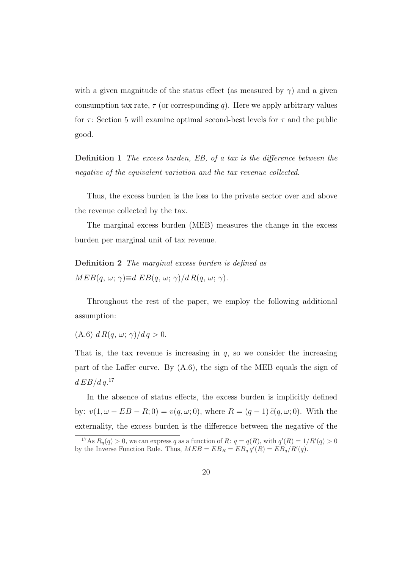with a given magnitude of the status effect (as measured by  $\gamma$ ) and a given consumption tax rate,  $\tau$  (or corresponding q). Here we apply arbitrary values for  $\tau$ : Section 5 will examine optimal second-best levels for  $\tau$  and the public good.

Definition 1 The excess burden, EB, of a tax is the difference between the negative of the equivalent variation and the tax revenue collected.

Thus, the excess burden is the loss to the private sector over and above the revenue collected by the tax.

The marginal excess burden (MEB) measures the change in the excess burden per marginal unit of tax revenue.

Definition 2 The marginal excess burden is defined as  $MED(q, \omega; \gamma) \equiv d EB(q, \omega; \gamma)/d R(q, \omega; \gamma).$ 

Throughout the rest of the paper, we employ the following additional assumption:

(A.6)  $d R(q, \omega; \gamma)/d q > 0.$ 

That is, the tax revenue is increasing in  $q$ , so we consider the increasing part of the Laffer curve. By (A.6), the sign of the MEB equals the sign of  $d\, E B/d\, q.^{17}$ 

In the absence of status effects, the excess burden is implicitly defined by:  $v(1, \omega - EB - R; 0) = v(q, \omega; 0)$ , where  $R = (q - 1) \tilde{c}(q, \omega; 0)$ . With the externality, the excess burden is the difference between the negative of the

<sup>&</sup>lt;sup>17</sup>As  $R_q(q) > 0$ , we can express q as a function of R:  $q = q(R)$ , with  $q'(R) = 1/R'(q) > 0$ by the Inverse Function Rule. Thus,  $MED = EB_R = EB_q q'(R) = EB_q/R'(q)$ .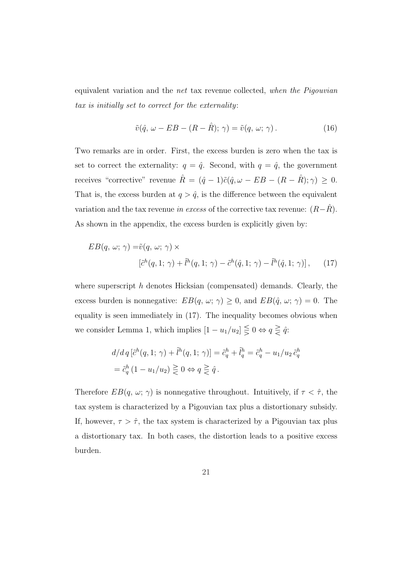equivalent variation and the net tax revenue collected, when the Pigouvian tax is initially set to correct for the externality:

$$
\tilde{v}(\hat{q}, \omega - EB - (R - \hat{R}); \gamma) = \tilde{v}(q, \omega; \gamma).
$$
\n(16)

Two remarks are in order. First, the excess burden is zero when the tax is set to correct the externality:  $q = \hat{q}$ . Second, with  $q = \hat{q}$ , the government receives "corrective" revenue  $\hat{R} = (\hat{q} - 1)\tilde{c}(\hat{q}, \omega - EB - (R - \hat{R}); \gamma) \ge 0.$ That is, the excess burden at  $q > \hat{q}$ , is the difference between the equivalent variation and the tax revenue in excess of the corrective tax revenue:  $(R-R)$ . As shown in the appendix, the excess burden is explicitly given by:

$$
EB(q, \omega; \gamma) = \tilde{v}(q, \omega; \gamma) \times
$$
  

$$
[\tilde{c}^h(q, 1; \gamma) + \tilde{l}^h(q, 1; \gamma) - \tilde{c}^h(\hat{q}, 1; \gamma) - \tilde{l}^h(\hat{q}, 1; \gamma)], \qquad (17)
$$

where superscript  $h$  denotes Hicksian (compensated) demands. Clearly, the excess burden is nonnegative:  $EB(q, \omega; \gamma) \geq 0$ , and  $EB(\hat{q}, \omega; \gamma) = 0$ . The equality is seen immediately in (17). The inequality becomes obvious when we consider Lemma 1, which implies  $[1 - u_1/u_2] \leq 0 \Leftrightarrow q \geq \hat{q}$ :

$$
d/d q \left[\tilde{c}^h(q, 1; \gamma) + \tilde{l}^h(q, 1; \gamma)\right] = \tilde{c}_q^h + \tilde{l}_q^h = \tilde{c}_q^h - u_1/u_2 \tilde{c}_q^h
$$
  
=  $\tilde{c}_q^h (1 - u_1/u_2) \gtrless 0 \Leftrightarrow q \gtrless \hat{q}.$ 

Therefore  $EB(q, \omega; \gamma)$  is nonnegative throughout. Intuitively, if  $\tau < \hat{\tau}$ , the tax system is characterized by a Pigouvian tax plus a distortionary subsidy. If, however,  $\tau > \hat{\tau}$ , the tax system is characterized by a Pigouvian tax plus a distortionary tax. In both cases, the distortion leads to a positive excess burden.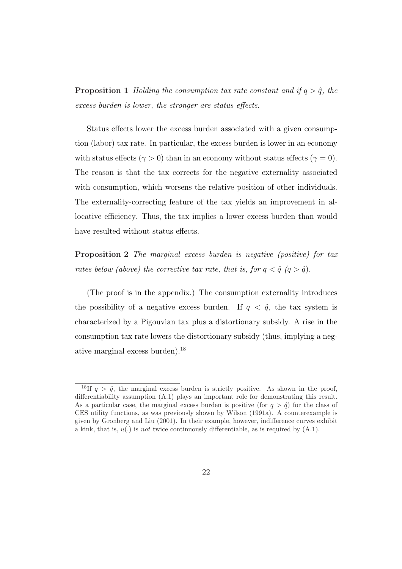**Proposition 1** Holding the consumption tax rate constant and if  $q > \hat{q}$ , the excess burden is lower, the stronger are status effects.

Status effects lower the excess burden associated with a given consumption (labor) tax rate. In particular, the excess burden is lower in an economy with status effects ( $\gamma > 0$ ) than in an economy without status effects ( $\gamma = 0$ ). The reason is that the tax corrects for the negative externality associated with consumption, which worsens the relative position of other individuals. The externality-correcting feature of the tax yields an improvement in allocative efficiency. Thus, the tax implies a lower excess burden than would have resulted without status effects.

Proposition 2 The marginal excess burden is negative (positive) for tax rates below (above) the corrective tax rate, that is, for  $q < \hat{q}$   $(q > \hat{q})$ .

(The proof is in the appendix.) The consumption externality introduces the possibility of a negative excess burden. If  $q < \hat{q}$ , the tax system is characterized by a Pigouvian tax plus a distortionary subsidy. A rise in the consumption tax rate lowers the distortionary subsidy (thus, implying a negative marginal excess burden).<sup>18</sup>

<sup>&</sup>lt;sup>18</sup>If  $q > \hat{q}$ , the marginal excess burden is strictly positive. As shown in the proof, differentiability assumption (A.1) plays an important role for demonstrating this result. As a particular case, the marginal excess burden is positive (for  $q > \hat{q}$ ) for the class of CES utility functions, as was previously shown by Wilson (1991a). A counterexample is given by Gronberg and Liu (2001). In their example, however, indifference curves exhibit a kink, that is,  $u(.)$  is not twice continuously differentiable, as is required by  $(A.1)$ .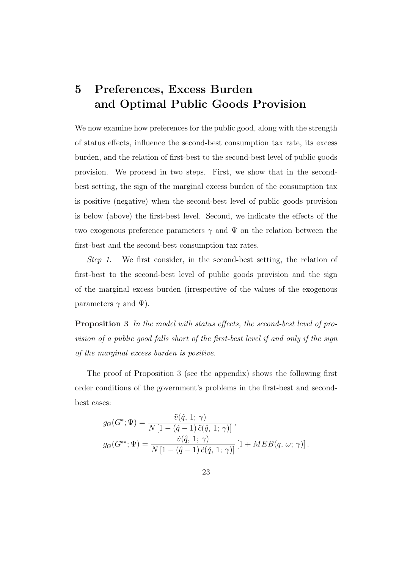## 5 Preferences, Excess Burden and Optimal Public Goods Provision

We now examine how preferences for the public good, along with the strength of status effects, influence the second-best consumption tax rate, its excess burden, and the relation of first-best to the second-best level of public goods provision. We proceed in two steps. First, we show that in the secondbest setting, the sign of the marginal excess burden of the consumption tax is positive (negative) when the second-best level of public goods provision is below (above) the first-best level. Second, we indicate the effects of the two exogenous preference parameters  $\gamma$  and  $\Psi$  on the relation between the first-best and the second-best consumption tax rates.

Step 1. We first consider, in the second-best setting, the relation of first-best to the second-best level of public goods provision and the sign of the marginal excess burden (irrespective of the values of the exogenous parameters  $\gamma$  and  $\Psi$ ).

Proposition 3 In the model with status effects, the second-best level of provision of a public good falls short of the first-best level if and only if the sign of the marginal excess burden is positive.

The proof of Proposition 3 (see the appendix) shows the following first order conditions of the government's problems in the first-best and secondbest cases:

$$
g_G(G^*; \Psi) = \frac{\tilde{v}(\hat{q}, 1; \gamma)}{N [1 - (\hat{q} - 1) \tilde{c}(\hat{q}, 1; \gamma)]},
$$
  

$$
g_G(G^{**}; \Psi) = \frac{\tilde{v}(\hat{q}, 1; \gamma)}{N [1 - (\hat{q} - 1) \tilde{c}(\hat{q}, 1; \gamma)]} [1 + MEB(q, \omega; \gamma)].
$$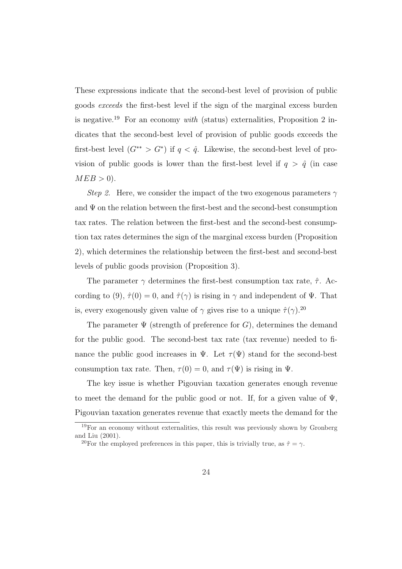These expressions indicate that the second-best level of provision of public goods exceeds the first-best level if the sign of the marginal excess burden is negative.<sup>19</sup> For an economy with (status) externalities, Proposition 2 indicates that the second-best level of provision of public goods exceeds the first-best level  $(G^{**} > G^*)$  if  $q < \hat{q}$ . Likewise, the second-best level of provision of public goods is lower than the first-best level if  $q > \hat{q}$  (in case  $MEB > 0$ ).

Step 2. Here, we consider the impact of the two exogenous parameters  $\gamma$ and  $\Psi$  on the relation between the first-best and the second-best consumption tax rates. The relation between the first-best and the second-best consumption tax rates determines the sign of the marginal excess burden (Proposition 2), which determines the relationship between the first-best and second-best levels of public goods provision (Proposition 3).

The parameter  $\gamma$  determines the first-best consumption tax rate,  $\hat{\tau}$ . According to (9),  $\hat{\tau}(0) = 0$ , and  $\hat{\tau}(\gamma)$  is rising in  $\gamma$  and independent of  $\Psi$ . That is, every exogenously given value of  $\gamma$  gives rise to a unique  $\hat{\tau}(\gamma)$ .<sup>20</sup>

The parameter  $\Psi$  (strength of preference for G), determines the demand for the public good. The second-best tax rate (tax revenue) needed to finance the public good increases in  $\Psi$ . Let  $\tau(\Psi)$  stand for the second-best consumption tax rate. Then,  $\tau(0) = 0$ , and  $\tau(\Psi)$  is rising in  $\Psi$ .

The key issue is whether Pigouvian taxation generates enough revenue to meet the demand for the public good or not. If, for a given value of  $\Psi$ , Pigouvian taxation generates revenue that exactly meets the demand for the

<sup>19</sup>For an economy without externalities, this result was previously shown by Gronberg and Liu (2001).

<sup>&</sup>lt;sup>20</sup>For the employed preferences in this paper, this is trivially true, as  $\hat{\tau} = \gamma$ .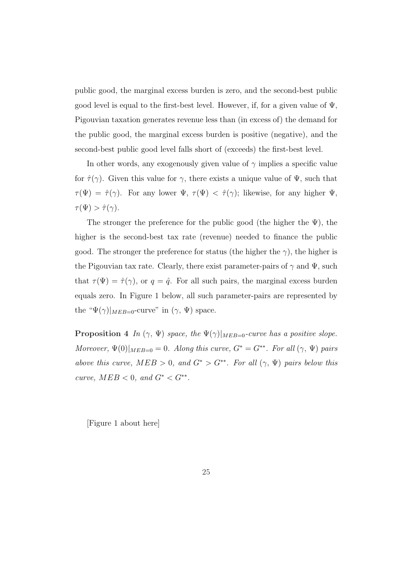public good, the marginal excess burden is zero, and the second-best public good level is equal to the first-best level. However, if, for a given value of  $\Psi$ , Pigouvian taxation generates revenue less than (in excess of) the demand for the public good, the marginal excess burden is positive (negative), and the second-best public good level falls short of (exceeds) the first-best level.

In other words, any exogenously given value of  $\gamma$  implies a specific value for  $\hat{\tau}(\gamma)$ . Given this value for  $\gamma$ , there exists a unique value of  $\Psi$ , such that  $\tau(\Psi) = \hat{\tau}(\gamma)$ . For any lower  $\Psi$ ,  $\tau(\Psi) < \hat{\tau}(\gamma)$ ; likewise, for any higher  $\Psi$ ,  $\tau(\Psi) > \hat{\tau}(\gamma).$ 

The stronger the preference for the public good (the higher the  $\Psi$ ), the higher is the second-best tax rate (revenue) needed to finance the public good. The stronger the preference for status (the higher the  $\gamma$ ), the higher is the Pigouvian tax rate. Clearly, there exist parameter-pairs of  $\gamma$  and  $\Psi$ , such that  $\tau(\Psi) = \hat{\tau}(\gamma)$ , or  $q = \hat{q}$ . For all such pairs, the marginal excess burden equals zero. In Figure 1 below, all such parameter-pairs are represented by the " $\Psi(\gamma)|_{MEB=0}$ -curve" in  $(\gamma, \Psi)$  space.

**Proposition 4** In  $(\gamma, \Psi)$  space, the  $\Psi(\gamma)|_{MEB=0}$ -curve has a positive slope. Moreover,  $\Psi(0)|_{MED=0} = 0$ . Along this curve,  $G^* = G^{**}$ . For all  $(\gamma, \Psi)$  pairs above this curve,  $MEB > 0$ , and  $G^* > G^{**}$ . For all  $(\gamma, \Psi)$  pairs below this curve,  $MEB < 0$ , and  $G^* < G^{**}$ .

[Figure 1 about here]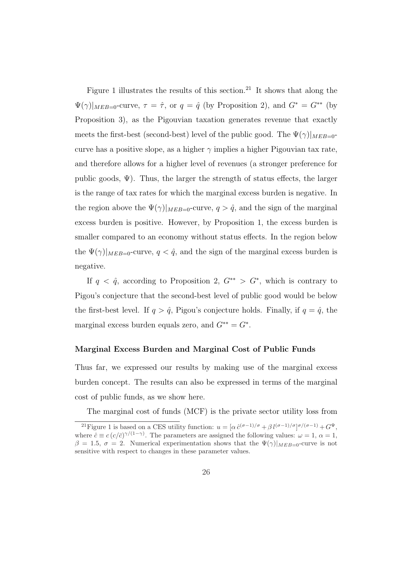Figure 1 illustrates the results of this section.<sup>21</sup> It shows that along the  $\Psi(\gamma)|_{MEB=0}$ -curve,  $\tau = \hat{\tau}$ , or  $q = \hat{q}$  (by Proposition 2), and  $G^* = G^{**}$  (by Proposition 3), as the Pigouvian taxation generates revenue that exactly meets the first-best (second-best) level of the public good. The  $\Psi(\gamma)|_{MEB=0}$ curve has a positive slope, as a higher  $\gamma$  implies a higher Pigouvian tax rate, and therefore allows for a higher level of revenues (a stronger preference for public goods,  $\Psi$ ). Thus, the larger the strength of status effects, the larger is the range of tax rates for which the marginal excess burden is negative. In the region above the  $\Psi(\gamma)|_{MEB=0}$ -curve,  $q > \hat{q}$ , and the sign of the marginal excess burden is positive. However, by Proposition 1, the excess burden is smaller compared to an economy without status effects. In the region below the  $\Psi(\gamma)|_{MEB=0}$ -curve,  $q < \hat{q}$ , and the sign of the marginal excess burden is negative.

If  $q < \hat{q}$ , according to Proposition 2,  $G^{**} > G^*$ , which is contrary to Pigou's conjecture that the second-best level of public good would be below the first-best level. If  $q > \hat{q}$ , Pigou's conjecture holds. Finally, if  $q = \hat{q}$ , the marginal excess burden equals zero, and  $G^{**} = G^*$ .

#### Marginal Excess Burden and Marginal Cost of Public Funds

Thus far, we expressed our results by making use of the marginal excess burden concept. The results can also be expressed in terms of the marginal cost of public funds, as we show here.

The marginal cost of funds (MCF) is the private sector utility loss from

<sup>&</sup>lt;sup>21</sup> Figure 1 is based on a CES utility function:  $u = [\alpha \hat{c}^{(\sigma-1)/\sigma} + \beta l^{(\sigma-1)/\sigma}]^{\sigma/(\sigma-1)} + G^{\Psi}$ , where  $\tilde{c} \equiv c (c/\bar{c})^{\gamma/(1-\gamma)}$ . The parameters are assigned the following values:  $\omega = 1, \alpha = 1$ ,  $\beta = 1.5, \sigma = 2$ . Numerical experimentation shows that the  $\Psi(\gamma)|_{MEB=0}$ -curve is not sensitive with respect to changes in these parameter values.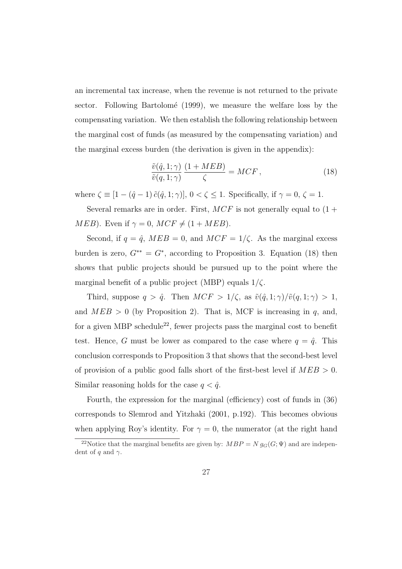an incremental tax increase, when the revenue is not returned to the private sector. Following Bartolomé (1999), we measure the welfare loss by the compensating variation. We then establish the following relationship between the marginal cost of funds (as measured by the compensating variation) and the marginal excess burden (the derivation is given in the appendix):

$$
\frac{\tilde{v}(\hat{q}, 1; \gamma)}{\tilde{v}(q, 1; \gamma)} \frac{(1 + MEB)}{\zeta} = MCF, \qquad (18)
$$

where  $\zeta \equiv [1-(\hat{q}-1)\,\tilde{c}(\hat{q},1;\gamma)], 0 < \zeta \leq 1$ . Specifically, if  $\gamma = 0, \, \zeta = 1$ .

Several remarks are in order. First,  $MCF$  is not generally equal to  $(1 +$ *MEB*). Even if  $\gamma = 0$ , *MCF*  $\neq$  (1 + *MEB*).

Second, if  $q = \hat{q}$ ,  $MEB = 0$ , and  $MCF = 1/\zeta$ . As the marginal excess burden is zero,  $G^{**} = G^*$ , according to Proposition 3. Equation (18) then shows that public projects should be pursued up to the point where the marginal benefit of a public project (MBP) equals  $1/\zeta$ .

Third, suppose  $q > \hat{q}$ . Then  $MCF > 1/\zeta$ , as  $\tilde{v}(\hat{q}, 1; \gamma)/\tilde{v}(q, 1; \gamma) > 1$ , and  $MED > 0$  (by Proposition 2). That is, MCF is increasing in q, and, for a given MBP schedule<sup>22</sup>, fewer projects pass the marginal cost to benefit test. Hence, G must be lower as compared to the case where  $q = \hat{q}$ . This conclusion corresponds to Proposition 3 that shows that the second-best level of provision of a public good falls short of the first-best level if  $MEB > 0$ . Similar reasoning holds for the case  $q < \hat{q}$ .

Fourth, the expression for the marginal (efficiency) cost of funds in (36) corresponds to Slemrod and Yitzhaki (2001, p.192). This becomes obvious when applying Roy's identity. For  $\gamma = 0$ , the numerator (at the right hand

<sup>&</sup>lt;sup>22</sup>Notice that the marginal benefits are given by:  $MBP = N g_G(G; \Psi)$  and are independent of q and  $\gamma$ .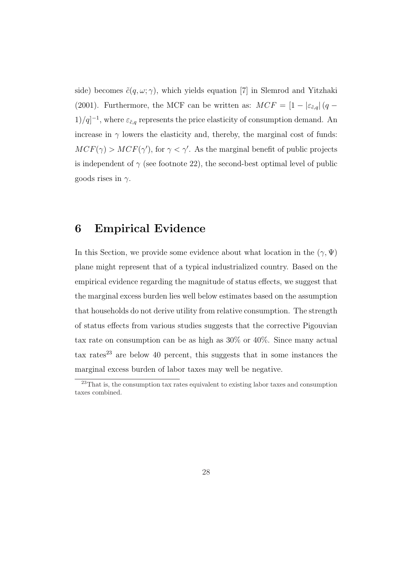side) becomes  $\tilde{c}(q,\omega;\gamma)$ , which yields equation [7] in Slemrod and Yitzhaki (2001). Furthermore, the MCF can be written as:  $MCF = \left[1 - |\varepsilon_{\tilde{c},q}|\left(q - \frac{\varepsilon_{\tilde{c},q}}{2}\right)\right]$  $1/q$ <sup>-1</sup>, where  $\varepsilon_{\tilde{c},q}$  represents the price elasticity of consumption demand. An increase in  $\gamma$  lowers the elasticity and, thereby, the marginal cost of funds:  $MCF(\gamma) > MCF(\gamma')$ , for  $\gamma < \gamma'$ . As the marginal benefit of public projects is independent of  $\gamma$  (see footnote 22), the second-best optimal level of public goods rises in  $\gamma$ .

### 6 Empirical Evidence

In this Section, we provide some evidence about what location in the  $(\gamma, \Psi)$ plane might represent that of a typical industrialized country. Based on the empirical evidence regarding the magnitude of status effects, we suggest that the marginal excess burden lies well below estimates based on the assumption that households do not derive utility from relative consumption. The strength of status effects from various studies suggests that the corrective Pigouvian tax rate on consumption can be as high as 30% or 40%. Since many actual tax rates<sup>23</sup> are below 40 percent, this suggests that in some instances the marginal excess burden of labor taxes may well be negative.

<sup>&</sup>lt;sup>23</sup>That is, the consumption tax rates equivalent to existing labor taxes and consumption taxes combined.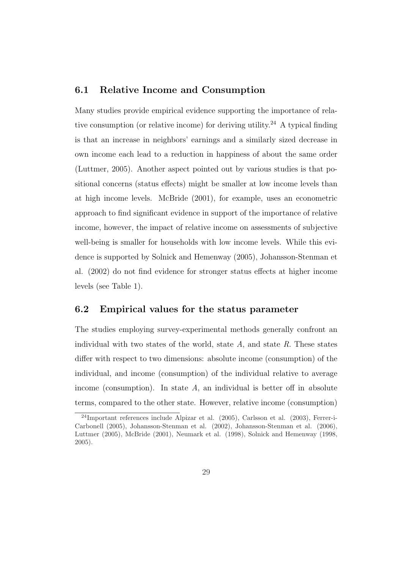#### 6.1 Relative Income and Consumption

Many studies provide empirical evidence supporting the importance of relative consumption (or relative income) for deriving utility.<sup>24</sup> A typical finding is that an increase in neighbors' earnings and a similarly sized decrease in own income each lead to a reduction in happiness of about the same order (Luttmer, 2005). Another aspect pointed out by various studies is that positional concerns (status effects) might be smaller at low income levels than at high income levels. McBride (2001), for example, uses an econometric approach to find significant evidence in support of the importance of relative income, however, the impact of relative income on assessments of subjective well-being is smaller for households with low income levels. While this evidence is supported by Solnick and Hemenway (2005), Johansson-Stenman et al. (2002) do not find evidence for stronger status effects at higher income levels (see Table 1).

#### 6.2 Empirical values for the status parameter

The studies employing survey-experimental methods generally confront an individual with two states of the world, state  $A$ , and state  $R$ . These states differ with respect to two dimensions: absolute income (consumption) of the individual, and income (consumption) of the individual relative to average income (consumption). In state  $A$ , an individual is better off in absolute terms, compared to the other state. However, relative income (consumption)

 $^{24}$ Important references include Alpizar et al. (2005), Carlsson et al. (2003), Ferrer-i-Carbonell (2005), Johansson-Stenman et al. (2002), Johansson-Stenman et al. (2006), Luttmer (2005), McBride (2001), Neumark et al. (1998), Solnick and Hemenway (1998, 2005).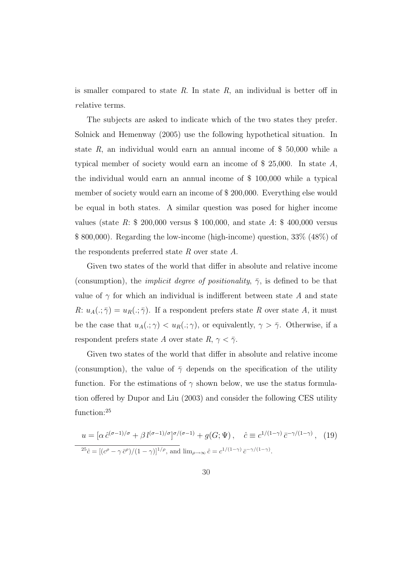is smaller compared to state  $R$ . In state  $R$ , an individual is better off in relative terms.

The subjects are asked to indicate which of the two states they prefer. Solnick and Hemenway (2005) use the following hypothetical situation. In state  $R$ , an individual would earn an annual income of \$ 50,000 while a typical member of society would earn an income of  $$ 25,000$ . In state A, the individual would earn an annual income of \$ 100,000 while a typical member of society would earn an income of \$ 200,000. Everything else would be equal in both states. A similar question was posed for higher income values (state R:  $$ 200,000$  versus  $$ 100,000$ , and state A:  $$ 400,000$  versus \$ 800,000). Regarding the low-income (high-income) question, 33% (48%) of the respondents preferred state R over state  $A$ .

Given two states of the world that differ in absolute and relative income (consumption), the *implicit degree of positionality*,  $\bar{\gamma}$ , is defined to be that value of  $\gamma$  for which an individual is indifferent between state A and state R:  $u_A(.;\bar{\gamma}) = u_R(.;\bar{\gamma})$ . If a respondent prefers state R over state A, it must be the case that  $u_A(.;\gamma) < u_R(.;\gamma)$ , or equivalently,  $\gamma > \overline{\gamma}$ . Otherwise, if a respondent prefers state A over state R,  $\gamma < \bar{\gamma}$ .

Given two states of the world that differ in absolute and relative income (consumption), the value of  $\bar{\gamma}$  depends on the specification of the utility function. For the estimations of  $\gamma$  shown below, we use the status formulation offered by Dupor and Liu (2003) and consider the following CES utility function:<sup>25</sup>

$$
u = [\alpha \hat{c}^{(\sigma-1)/\sigma} + \beta l^{(\sigma-1)/\sigma}]^{\sigma/(\sigma-1)} + g(G; \Psi), \quad \hat{c} \equiv c^{1/(1-\gamma)} \bar{c}^{-\gamma/(1-\gamma)}, \quad (19)
$$
  

$$
^{25}\hat{c} = [({c^{\rho} - \gamma \bar{c}^{\rho}})/(1-\gamma)]^{1/\rho}, \text{ and } \lim_{\rho \to \infty} \hat{c} = c^{1/(1-\gamma)} \bar{c}^{-\gamma/(1-\gamma)}.
$$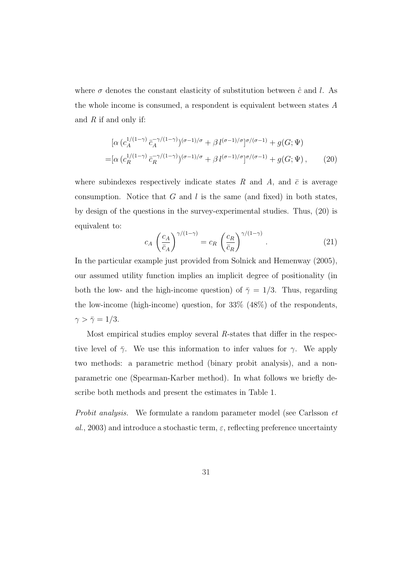where  $\sigma$  denotes the constant elasticity of substitution between  $\hat{c}$  and l. As the whole income is consumed, a respondent is equivalent between states A and  $R$  if and only if:

$$
\begin{split} &\left[\alpha \left(c_{A}^{1/(1-\gamma)} \,\bar{c}_{A}^{-\gamma/(1-\gamma)}\right)^{(\sigma-1)/\sigma} + \beta \, l^{(\sigma-1)/\sigma} \right]^{(\sigma/(\sigma-1))} + g(G; \Psi) \\ = &\left[\alpha \left(c_{R}^{1/(1-\gamma)} \,\bar{c}_{R}^{-\gamma/(1-\gamma)}\right)^{(\sigma-1)/\sigma} + \beta \, l^{(\sigma-1)/\sigma} \right]^{(\sigma/(\sigma-1))} + g(G; \Psi) \,, \end{split} \tag{20}
$$

where subindexes respectively indicate states R and A, and  $\bar{c}$  is average consumption. Notice that  $G$  and  $l$  is the same (and fixed) in both states, by design of the questions in the survey-experimental studies. Thus, (20) is equivalent to:

$$
c_A \left(\frac{c_A}{\bar{c}_A}\right)^{\gamma/(1-\gamma)} = c_R \left(\frac{c_R}{\bar{c}_R}\right)^{\gamma/(1-\gamma)}.
$$
 (21)

In the particular example just provided from Solnick and Hemenway (2005), our assumed utility function implies an implicit degree of positionality (in both the low- and the high-income question) of  $\bar{\gamma} = 1/3$ . Thus, regarding the low-income (high-income) question, for 33% (48%) of the respondents,  $\gamma > \bar{\gamma} = 1/3.$ 

Most empirical studies employ several R-states that differ in the respective level of  $\bar{\gamma}$ . We use this information to infer values for  $\gamma$ . We apply two methods: a parametric method (binary probit analysis), and a nonparametric one (Spearman-Karber method). In what follows we briefly describe both methods and present the estimates in Table 1.

Probit analysis. We formulate a random parameter model (see Carlsson et al., 2003) and introduce a stochastic term,  $\varepsilon$ , reflecting preference uncertainty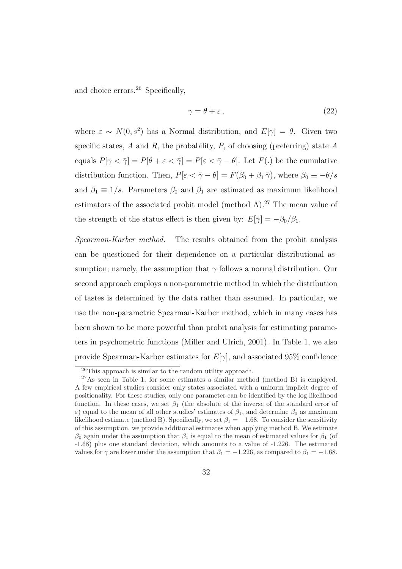and choice errors. $26$  Specifically,

$$
\gamma = \theta + \varepsilon \,,\tag{22}
$$

where  $\varepsilon \sim N(0, s^2)$  has a Normal distribution, and  $E[\gamma] = \theta$ . Given two specific states,  $A$  and  $R$ , the probability,  $P$ , of choosing (preferring) state  $A$ equals  $P[\gamma < \overline{\gamma}] = P[\theta + \varepsilon < \overline{\gamma}] = P[\varepsilon < \overline{\gamma} - \theta]$ . Let  $F(.)$  be the cumulative distribution function. Then,  $P[\varepsilon < \overline{\gamma} - \theta] = F(\beta_0 + \beta_1 \overline{\gamma})$ , where  $\beta_0 \equiv -\theta/s$ and  $\beta_1 \equiv 1/s$ . Parameters  $\beta_0$  and  $\beta_1$  are estimated as maximum likelihood estimators of the associated probit model (method A).<sup>27</sup> The mean value of the strength of the status effect is then given by:  $E[\gamma] = -\beta_0/\beta_1$ .

Spearman-Karber method. The results obtained from the probit analysis can be questioned for their dependence on a particular distributional assumption; namely, the assumption that  $\gamma$  follows a normal distribution. Our second approach employs a non-parametric method in which the distribution of tastes is determined by the data rather than assumed. In particular, we use the non-parametric Spearman-Karber method, which in many cases has been shown to be more powerful than probit analysis for estimating parameters in psychometric functions (Miller and Ulrich, 2001). In Table 1, we also provide Spearman-Karber estimates for  $E[\gamma]$ , and associated 95% confidence

<sup>26</sup>This approach is similar to the random utility approach.

 $^{27}\text{As}$  seen in Table 1, for some estimates a similar method (method B) is employed. A few empirical studies consider only states associated with a uniform implicit degree of positionality. For these studies, only one parameter can be identified by the log likelihood function. In these cases, we set  $\beta_1$  (the absolute of the inverse of the standard error of  $ε$ ) equal to the mean of all other studies' estimates of  $β_1$ , and determine  $β_0$  as maximum likelihood estimate (method B). Specifically, we set  $\beta_1 = -1.68$ . To consider the sensitivity of this assumption, we provide additional estimates when applying method B. We estimate  $β_0$  again under the assumption that  $β_1$  is equal to the mean of estimated values for  $β_1$  (of -1.68) plus one standard deviation, which amounts to a value of -1.226. The estimated values for  $\gamma$  are lower under the assumption that  $\beta_1 = -1.226$ , as compared to  $\beta_1 = -1.68$ .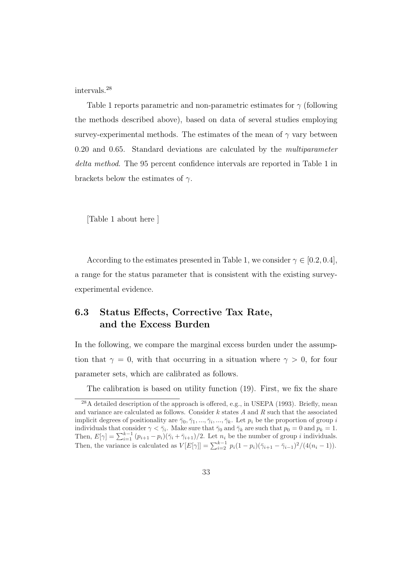intervals.<sup>28</sup>

Table 1 reports parametric and non-parametric estimates for  $\gamma$  (following the methods described above), based on data of several studies employing survey-experimental methods. The estimates of the mean of  $\gamma$  vary between 0.20 and 0.65. Standard deviations are calculated by the *multiparameter* delta method. The 95 percent confidence intervals are reported in Table 1 in brackets below the estimates of  $\gamma$ .

[Table 1 about here ]

According to the estimates presented in Table 1, we consider  $\gamma \in [0.2, 0.4]$ , a range for the status parameter that is consistent with the existing surveyexperimental evidence.

### 6.3 Status Effects, Corrective Tax Rate, and the Excess Burden

In the following, we compare the marginal excess burden under the assumption that  $\gamma = 0$ , with that occurring in a situation where  $\gamma > 0$ , for four parameter sets, which are calibrated as follows.

The calibration is based on utility function (19). First, we fix the share

<sup>28</sup>A detailed description of the approach is offered, e.g., in USEPA (1993). Briefly, mean and variance are calculated as follows. Consider  $k$  states  $A$  and  $R$  such that the associated implicit degrees of positionality are  $\bar{\gamma}_0, \bar{\gamma}_1, ..., \bar{\gamma}_i, ..., \bar{\gamma}_k$ . Let  $p_i$  be the proportion of group i individuals that consider  $\gamma < \bar{\gamma}_i$ . Make sure that  $\bar{\gamma}_0$  and  $\bar{\gamma}_k$  are such that  $p_0 = 0$  and  $p_k = 1$ . Then,  $E[\gamma] = \sum_{i=1}^{k-1} (p_{i+1} - p_i)(\bar{\gamma}_i + \bar{\gamma}_{i+1})/2$ . Let  $n_i$  be the number of group i individuals. Then, the variance is calculated as  $V[E[\gamma]] = \sum_{i=2}^{k-1} p_i (1-p_i)(\bar{\gamma}_{i+1} - \bar{\gamma}_{i-1})^2/(4(n_i-1)).$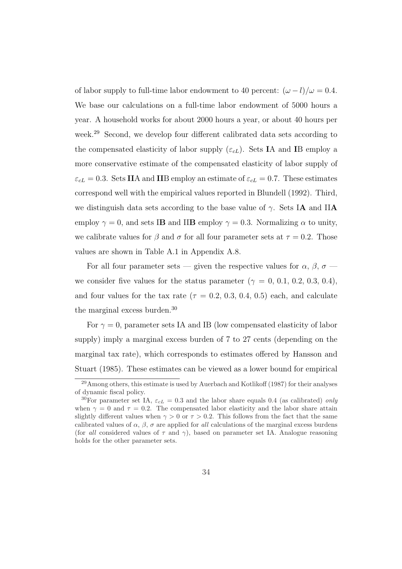of labor supply to full-time labor endowment to 40 percent:  $(\omega - l)/\omega = 0.4$ . We base our calculations on a full-time labor endowment of 5000 hours a year. A household works for about 2000 hours a year, or about 40 hours per week.<sup>29</sup> Second, we develop four different calibrated data sets according to the compensated elasticity of labor supply  $(\varepsilon_{cL})$ . Sets IA and IB employ a more conservative estimate of the compensated elasticity of labor supply of  $\varepsilon_{cL} = 0.3$ . Sets IIA and IIB employ an estimate of  $\varepsilon_{cL} = 0.7$ . These estimates correspond well with the empirical values reported in Blundell (1992). Third, we distinguish data sets according to the base value of  $\gamma$ . Sets IA and IIA employ  $\gamma = 0$ , and sets IB and IIB employ  $\gamma = 0.3$ . Normalizing  $\alpha$  to unity, we calibrate values for  $\beta$  and  $\sigma$  for all four parameter sets at  $\tau = 0.2$ . Those values are shown in Table A.1 in Appendix A.8.

For all four parameter sets — given the respective values for  $\alpha$ ,  $\beta$ ,  $\sigma$  we consider five values for the status parameter  $(\gamma = 0, 0.1, 0.2, 0.3, 0.4)$ , and four values for the tax rate ( $\tau = 0.2, 0.3, 0.4, 0.5$ ) each, and calculate the marginal excess burden.<sup>30</sup>

For  $\gamma = 0$ , parameter sets IA and IB (low compensated elasticity of labor supply) imply a marginal excess burden of 7 to 27 cents (depending on the marginal tax rate), which corresponds to estimates offered by Hansson and Stuart (1985). These estimates can be viewed as a lower bound for empirical

 $^{29}$ Among others, this estimate is used by Auerbach and Kotlikoff (1987) for their analyses of dynamic fiscal policy.

<sup>&</sup>lt;sup>30</sup>For parameter set IA,  $\varepsilon_{cL} = 0.3$  and the labor share equals 0.4 (as calibrated) only when  $\gamma = 0$  and  $\tau = 0.2$ . The compensated labor elasticity and the labor share attain slightly different values when  $\gamma > 0$  or  $\tau > 0.2$ . This follows from the fact that the same calibrated values of  $\alpha$ ,  $\beta$ ,  $\sigma$  are applied for all calculations of the marginal excess burdens (for all considered values of  $\tau$  and  $\gamma$ ), based on parameter set IA. Analogue reasoning holds for the other parameter sets.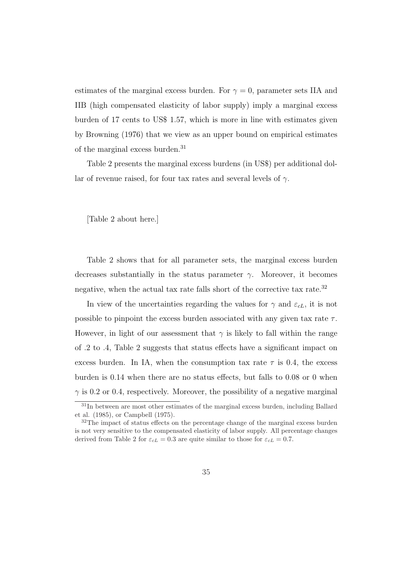estimates of the marginal excess burden. For  $\gamma = 0$ , parameter sets IIA and IIB (high compensated elasticity of labor supply) imply a marginal excess burden of 17 cents to US\$ 1.57, which is more in line with estimates given by Browning (1976) that we view as an upper bound on empirical estimates of the marginal excess burden.<sup>31</sup>

Table 2 presents the marginal excess burdens (in US\$) per additional dollar of revenue raised, for four tax rates and several levels of  $\gamma$ .

[Table 2 about here.]

Table 2 shows that for all parameter sets, the marginal excess burden decreases substantially in the status parameter  $\gamma$ . Moreover, it becomes negative, when the actual tax rate falls short of the corrective tax rate.<sup>32</sup>

In view of the uncertainties regarding the values for  $\gamma$  and  $\varepsilon_{cL}$ , it is not possible to pinpoint the excess burden associated with any given tax rate  $\tau$ . However, in light of our assessment that  $\gamma$  is likely to fall within the range of .2 to .4, Table 2 suggests that status effects have a significant impact on excess burden. In IA, when the consumption tax rate  $\tau$  is 0.4, the excess burden is 0.14 when there are no status effects, but falls to 0.08 or 0 when  $\gamma$  is 0.2 or 0.4, respectively. Moreover, the possibility of a negative marginal

<sup>&</sup>lt;sup>31</sup>In between are most other estimates of the marginal excess burden, including Ballard et al. (1985), or Campbell (1975).

<sup>&</sup>lt;sup>32</sup>The impact of status effects on the percentage change of the marginal excess burden is not very sensitive to the compensated elasticity of labor supply. All percentage changes derived from Table 2 for  $\varepsilon_{cL} = 0.3$  are quite similar to those for  $\varepsilon_{cL} = 0.7$ .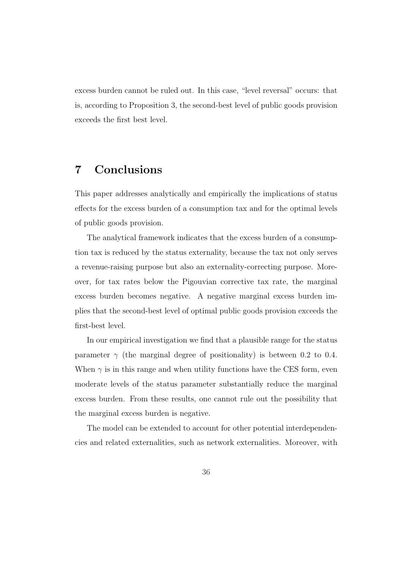excess burden cannot be ruled out. In this case, "level reversal" occurs: that is, according to Proposition 3, the second-best level of public goods provision exceeds the first best level.

### 7 Conclusions

This paper addresses analytically and empirically the implications of status effects for the excess burden of a consumption tax and for the optimal levels of public goods provision.

The analytical framework indicates that the excess burden of a consumption tax is reduced by the status externality, because the tax not only serves a revenue-raising purpose but also an externality-correcting purpose. Moreover, for tax rates below the Pigouvian corrective tax rate, the marginal excess burden becomes negative. A negative marginal excess burden implies that the second-best level of optimal public goods provision exceeds the first-best level.

In our empirical investigation we find that a plausible range for the status parameter  $\gamma$  (the marginal degree of positionality) is between 0.2 to 0.4. When  $\gamma$  is in this range and when utility functions have the CES form, even moderate levels of the status parameter substantially reduce the marginal excess burden. From these results, one cannot rule out the possibility that the marginal excess burden is negative.

The model can be extended to account for other potential interdependencies and related externalities, such as network externalities. Moreover, with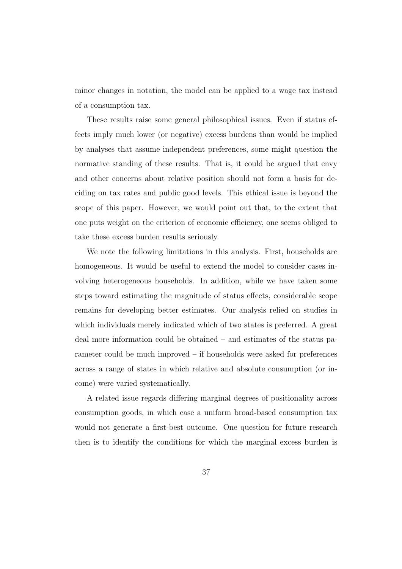minor changes in notation, the model can be applied to a wage tax instead of a consumption tax.

These results raise some general philosophical issues. Even if status effects imply much lower (or negative) excess burdens than would be implied by analyses that assume independent preferences, some might question the normative standing of these results. That is, it could be argued that envy and other concerns about relative position should not form a basis for deciding on tax rates and public good levels. This ethical issue is beyond the scope of this paper. However, we would point out that, to the extent that one puts weight on the criterion of economic efficiency, one seems obliged to take these excess burden results seriously.

We note the following limitations in this analysis. First, households are homogeneous. It would be useful to extend the model to consider cases involving heterogeneous households. In addition, while we have taken some steps toward estimating the magnitude of status effects, considerable scope remains for developing better estimates. Our analysis relied on studies in which individuals merely indicated which of two states is preferred. A great deal more information could be obtained – and estimates of the status parameter could be much improved – if households were asked for preferences across a range of states in which relative and absolute consumption (or income) were varied systematically.

A related issue regards differing marginal degrees of positionality across consumption goods, in which case a uniform broad-based consumption tax would not generate a first-best outcome. One question for future research then is to identify the conditions for which the marginal excess burden is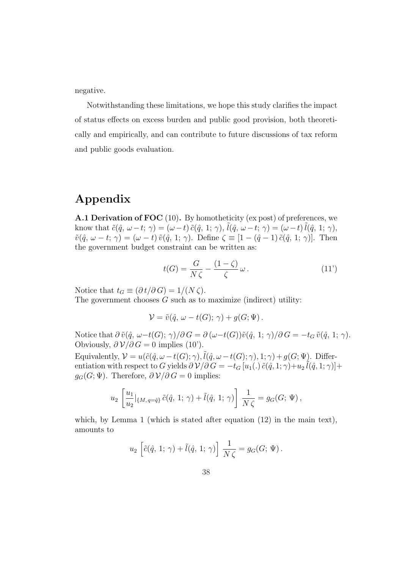negative.

Notwithstanding these limitations, we hope this study clarifies the impact of status effects on excess burden and public good provision, both theoretically and empirically, and can contribute to future discussions of tax reform and public goods evaluation.

## Appendix

A.1 Derivation of FOC (10). By homotheticity (ex post) of preferences, we know that  $\tilde{c}(\hat{q}, \omega - t; \gamma) = (\omega - t) \tilde{c}(\hat{q}, 1; \gamma), \tilde{l}(\hat{q}, \omega - t; \gamma) = (\omega - t) \tilde{l}(\hat{q}, 1; \gamma),$  $\tilde{v}(\hat{q}, \omega - t; \gamma) = (\omega - t) \tilde{v}(\hat{q}, 1; \gamma)$ . Define  $\zeta \equiv [1 - (\hat{q} - 1) \tilde{c}(\hat{q}, 1; \gamma)]$ . Then the government budget constraint can be written as:

$$
t(G) = \frac{G}{N\zeta} - \frac{(1-\zeta)}{\zeta} \omega.
$$
 (11')

Notice that  $t_G \equiv (\partial t / \partial G) = 1/(N \zeta)$ . The government chooses  $G$  such as to maximize (indirect) utility:

$$
\mathcal{V} = \tilde{v}(\hat{q}, \omega - t(G); \gamma) + g(G; \Psi).
$$

Notice that  $\partial \tilde{v}(\hat{q}, \omega-t(G); \gamma)/\partial G = \partial (\omega-t(G))\tilde{v}(\hat{q}, 1; \gamma)/\partial G = -t_G \tilde{v}(\hat{q}, 1; \gamma)$ . Obviously,  $\partial \mathcal{V}/\partial G = 0$  implies (10').

Equivalently,  $\mathcal{V} = u(\tilde{c}(\hat{q}, \omega - t(G); \gamma), \tilde{l}(\hat{q}, \omega - t(G); \gamma), 1; \gamma) + g(G; \Psi)$ . Differentiation with respect to G yields  $\partial \mathcal{V}/\partial G = -t_G [u_1(.) \tilde{c}(\hat{q}, 1; \gamma) + u_2 \tilde{l}(\hat{q}, 1; \gamma)] +$  $g_G(G; \Psi)$ . Therefore,  $\partial \mathcal{V}/\partial G = 0$  implies:

$$
u_2 \left[ \frac{u_1}{u_2} |_{\{M, q = \hat{q}\}} \tilde{c}(\hat{q}, 1; \gamma) + \tilde{l}(\hat{q}, 1; \gamma) \right] \frac{1}{N\zeta} = g_G(G; \Psi),
$$

which, by Lemma 1 (which is stated after equation  $(12)$  in the main text), amounts to

$$
u_2 \left[ \tilde{c}(\hat{q}, 1; \gamma) + \tilde{l}(\hat{q}, 1; \gamma) \right] \frac{1}{N\zeta} = g_G(G; \Psi).
$$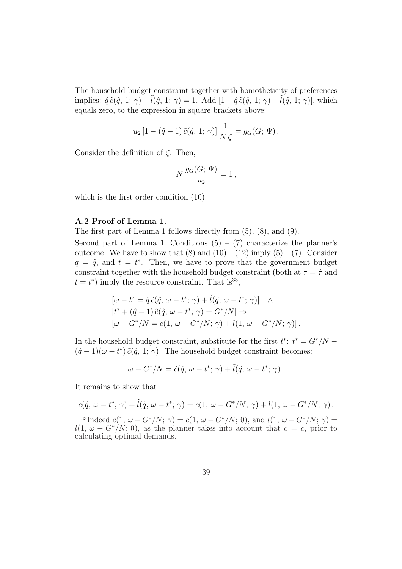The household budget constraint together with homotheticity of preferences implies:  $\hat{q} \tilde{c}(\hat{q}, 1; \gamma) + \tilde{l}(\hat{q}, 1; \gamma) = 1$ . Add  $[1 - \hat{q} \tilde{c}(\hat{q}, 1; \gamma) - l(\hat{q}, 1; \gamma)]$ , which equals zero, to the expression in square brackets above:

$$
u_2 [1 - (\hat{q} - 1) \tilde{c}(\hat{q}, 1; \gamma)] \frac{1}{N \zeta} = g_G(G; \Psi).
$$

Consider the definition of  $\zeta$ . Then,

$$
N\frac{g_G(G; \Psi)}{u_2} = 1,
$$

which is the first order condition (10).

#### A.2 Proof of Lemma 1.

The first part of Lemma 1 follows directly from (5), (8), and (9).

Second part of Lemma 1. Conditions  $(5) - (7)$  characterize the planner's outcome. We have to show that  $(8)$  and  $(10) - (12)$  imply  $(5) - (7)$ . Consider  $q = \hat{q}$ , and  $t = t^*$ . Then, we have to prove that the government budget constraint together with the household budget constraint (both at  $\tau = \hat{\tau}$  and  $t = t^*$  imply the resource constraint. That is<sup>33</sup>,

$$
[\omega - t^* = \hat{q} \tilde{c}(\hat{q}, \omega - t^*; \gamma) + \tilde{l}(\hat{q}, \omega - t^*; \gamma)] \quad \wedge
$$
  
\n
$$
[t^* + (\hat{q} - 1) \tilde{c}(\hat{q}, \omega - t^*; \gamma) = G^*/N] \Rightarrow
$$
  
\n
$$
[\omega - G^*/N = c(1, \omega - G^*/N; \gamma) + l(1, \omega - G^*/N; \gamma)].
$$

In the household budget constraint, substitute for the first  $t^*$ :  $t^* = G^*/N (\hat{q}-1)(\omega - t^*)\tilde{c}(\hat{q}, 1; \gamma)$ . The household budget constraint becomes:

$$
\omega - G^* / N = \tilde{c}(\hat{q}, \, \omega - t^*; \, \gamma) + \tilde{l}(\hat{q}, \, \omega - t^*; \, \gamma) \, .
$$

It remains to show that

$$
\tilde{c}(\hat{q}, \omega - t^*; \gamma) + \tilde{l}(\hat{q}, \omega - t^*; \gamma) = c(1, \omega - G^*/N; \gamma) + l(1, \omega - G^*/N; \gamma).
$$

<sup>33</sup>Indeed  $c(1, \omega - G^*/N; \gamma) = c(1, \omega - G^*/N; 0)$ , and  $l(1, \omega - G^*/N; \gamma) =$  $l(1, \omega - G^* / N; 0)$ , as the planner takes into account that  $c = \overline{c}$ , prior to calculating optimal demands.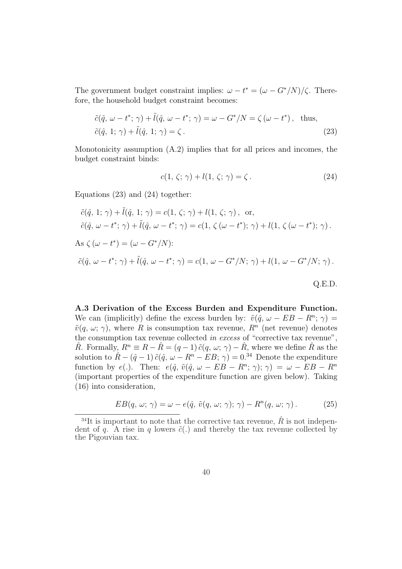The government budget constraint implies:  $\omega - t^* = (\omega - G^*/N)/\zeta$ . Therefore, the household budget constraint becomes:

$$
\tilde{c}(\hat{q}, \omega - t^*; \gamma) + \tilde{l}(\hat{q}, \omega - t^*; \gamma) = \omega - G^*/N = \zeta(\omega - t^*), \text{ thus,}
$$
  

$$
\tilde{c}(\hat{q}, 1; \gamma) + \tilde{l}(\hat{q}, 1; \gamma) = \zeta.
$$
 (23)

Monotonicity assumption (A.2) implies that for all prices and incomes, the budget constraint binds:

$$
c(1, \zeta; \gamma) + l(1, \zeta; \gamma) = \zeta. \tag{24}
$$

Equations (23) and (24) together:

$$
\tilde{c}(\hat{q}, 1; \gamma) + \tilde{l}(\hat{q}, 1; \gamma) = c(1, \zeta; \gamma) + l(1, \zeta; \gamma), \text{ or,}
$$
  
\n
$$
\tilde{c}(\hat{q}, \omega - t^*; \gamma) + \tilde{l}(\hat{q}, \omega - t^*; \gamma) = c(1, \zeta(\omega - t^*); \gamma) + l(1, \zeta(\omega - t^*); \gamma).
$$
  
\nAs  $\zeta(\omega - t^*) = (\omega - G^*/N)$ :  
\n
$$
\tilde{c}(\hat{q}, \omega - t^*; \gamma) + \tilde{l}(\hat{q}, \omega - t^*; \gamma) = c(1, \omega - G^*/N; \gamma) + l(1, \omega - G^*/N; \gamma).
$$
  
\nQ.E.D.

A.3 Derivation of the Excess Burden and Expenditure Function. We can (implicitly) define the excess burden by:  $\tilde{v}(\hat{q}, \omega - EB - R^n; \gamma) =$  $\tilde{v}(q, \omega; \gamma)$ , where R is consumption tax revenue,  $R^n$  (net revenue) denotes the consumption tax revenue collected in excess of "corrective tax revenue",  $\hat{R}$ . Formally,  $R^n \equiv R - \hat{R} = (q-1) \tilde{c}(q, \omega; \gamma) - \hat{R}$ , where we define  $\hat{R}$  as the solution to  $\hat{R} - (\hat{q} - 1) \tilde{c}(\hat{q}, \omega - R^n - EB; \gamma) = 0^{34}$  Denote the expenditure function by  $e(.)$ . Then:  $e(\hat{q}, \tilde{v}(\hat{q}, \omega - EB - R^n; \gamma); \gamma) = \omega - EB - R^n$ (important properties of the expenditure function are given below). Taking (16) into consideration,

$$
EB(q, \omega; \gamma) = \omega - e(\hat{q}, \tilde{v}(q, \omega; \gamma); \gamma) - R^{n}(q, \omega; \gamma).
$$
 (25)

<sup>&</sup>lt;sup>34</sup>It is important to note that the corrective tax revenue,  $\hat{R}$  is not independent of q. A rise in q lowers  $\tilde{c}(.)$  and thereby the tax revenue collected by the Pigouvian tax.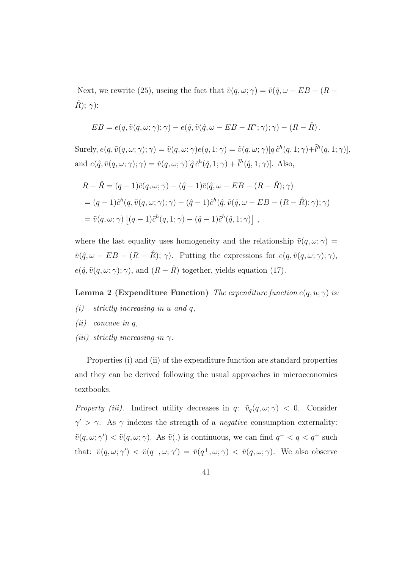Next, we rewrite (25), useing the fact that  $\tilde{v}(q, \omega; \gamma) = \tilde{v}(\hat{q}, \omega - EB - (R \hat{R}$ );  $\gamma$ ):

$$
EB = e(q, \tilde{v}(q, \omega; \gamma); \gamma) - e(\hat{q}, \tilde{v}(\hat{q}, \omega - EB - R^{n}; \gamma); \gamma) - (R - \hat{R}).
$$

Surely,  $e(q, \tilde{v}(q, \omega; \gamma); \gamma) = \tilde{v}(q, \omega; \gamma)e(q, 1; \gamma) = \tilde{v}(q, \omega; \gamma)[q \tilde{c}^h(q, 1; \gamma) + \tilde{l}^h(q, 1; \gamma)],$ and  $e(\hat{q}, \tilde{v}(q,\omega; \gamma); \gamma) = \tilde{v}(q,\omega; \gamma) [\hat{q} \tilde{c}^h(\hat{q}, 1; \gamma) + \tilde{l}^h(\hat{q}, 1; \gamma)].$  Also,

$$
R - \hat{R} = (q - 1)\tilde{c}(q, \omega; \gamma) - (\hat{q} - 1)\tilde{c}(\hat{q}, \omega - EB - (R - \hat{R}); \gamma)
$$
  
=  $(q - 1)\tilde{c}^h(q, \tilde{v}(q, \omega; \gamma); \gamma) - (\hat{q} - 1)\tilde{c}^h(\hat{q}, \tilde{v}(\hat{q}, \omega - EB - (R - \hat{R}); \gamma); \gamma)$   
=  $\tilde{v}(q, \omega; \gamma) [(q - 1)\tilde{c}^h(q, 1; \gamma) - (\hat{q} - 1)\tilde{c}^h(\hat{q}, 1; \gamma)]$ ,

where the last equality uses homogeneity and the relationship  $\tilde{v}(q,\omega;\gamma)$  =  $\tilde{v}(\hat{q}, \omega - EB - (R - \hat{R}); \gamma)$ . Putting the expressions for  $e(q, \tilde{v}(q, \omega; \gamma); \gamma)$ ,  $e(\hat{q}, \tilde{v}(q, \omega; \gamma); \gamma)$ , and  $(R - \hat{R})$  together, yields equation (17).

#### Lemma 2 (Expenditure Function) The expenditure function  $e(q, u; \gamma)$  is:

- (i) strictly increasing in u and q,
- (*ii*) concave in  $q$ ,
- (iii) strictly increasing in  $\gamma$ .

Properties (i) and (ii) of the expenditure function are standard properties and they can be derived following the usual approaches in microeconomics textbooks.

Property (iii). Indirect utility decreases in q:  $\tilde{v}_q(q,\omega;\gamma) < 0$ . Consider  $\gamma' > \gamma$ . As  $\gamma$  indexes the strength of a *negative* consumption externality:  $\tilde{v}(q,\omega;\gamma') < \tilde{v}(q,\omega;\gamma)$ . As  $\tilde{v}(.)$  is continuous, we can find  $q^- < q < q^+$  such that:  $\tilde{v}(q,\omega;\gamma') < \tilde{v}(q^-,\omega;\gamma') = \tilde{v}(q^+,\omega;\gamma) < \tilde{v}(q,\omega;\gamma)$ . We also observe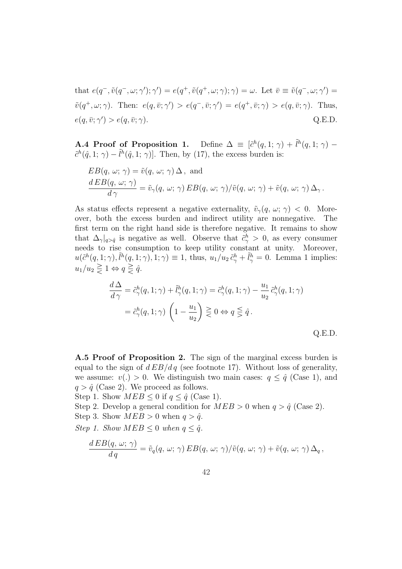that  $e(q^-, \tilde{v}(q^-,\omega;\gamma');\gamma') = e(q^+, \tilde{v}(q^+,\omega;\gamma); \gamma) = \omega$ . Let  $\bar{v} \equiv \tilde{v}(q^-,\omega;\gamma') =$  $\tilde{v}(q^+, \omega; \gamma)$ . Then:  $e(q, \bar{v}; \gamma') > e(q^-, \bar{v}; \gamma') = e(q^+, \bar{v}; \gamma) > e(q, \bar{v}; \gamma)$ . Thus,  $e(q, \bar{v}; \gamma') > e(q, \bar{v}; \gamma).$  Q.E.D.

**A.4 Proof of Proposition 1.** Define  $\Delta \equiv [\tilde{c}^h(q, 1; \gamma) + \tilde{l}^h(q, 1; \gamma) \tilde{c}^h(\hat{q}, 1; \gamma) - \tilde{l}^h(\hat{q}, 1; \gamma)$ . Then, by (17), the excess burden is:

$$
EB(q, \omega; \gamma) = \tilde{v}(q, \omega; \gamma) \Delta, \text{ and}
$$
  
\n
$$
\frac{dEB(q, \omega; \gamma)}{d\gamma} = \tilde{v}_{\gamma}(q, \omega; \gamma) EB(q, \omega; \gamma)/\tilde{v}(q, \omega; \gamma) + \tilde{v}(q, \omega; \gamma) \Delta_{\gamma}.
$$

As status effects represent a negative externality,  $\tilde{v}_{\gamma}(q, \omega; \gamma) < 0$ . Moreover, both the excess burden and indirect utility are nonnegative. The first term on the right hand side is therefore negative. It remains to show that  $\Delta_{\gamma}|_{q>\hat{q}}$  is negative as well. Observe that  $\tilde{c}^h_{\gamma} > 0$ , as every consumer needs to rise consumption to keep utility constant at unity. Moreover,  $u(\tilde{c}^h(q, 1; \gamma), \tilde{l}^h(q, 1; \gamma), 1; \gamma) \equiv 1$ , thus,  $u_1/u_2 \tilde{c}^h_\gamma + \tilde{l}^h_\gamma = 0$ . Lemma 1 implies:  $u_1/u_2 \gtrless 1 \Leftrightarrow q \gtrless \hat{q}.$ 

$$
\frac{d\,\Delta}{d\,\gamma} = \tilde{c}^h_\gamma(q, 1; \gamma) + \tilde{l}^h_\gamma(q, 1; \gamma) = \tilde{c}^h_\gamma(q, 1; \gamma) - \frac{u_1}{u_2} \tilde{c}^h_\gamma(q, 1; \gamma)
$$

$$
= \tilde{c}^h_\gamma(q, 1; \gamma) \left(1 - \frac{u_1}{u_2}\right) \gtrless 0 \Leftrightarrow q \lessgtr \hat{q}.
$$
Q.E.D.

A.5 Proof of Proposition 2. The sign of the marginal excess burden is equal to the sign of  $dEB/dq$  (see footnote 17). Without loss of generality, we assume:  $v(.) > 0$ . We distinguish two main cases:  $q \leq \hat{q}$  (Case 1), and  $q > \hat{q}$  (Case 2). We proceed as follows.

Step 1. Show  $MEB \leq 0$  if  $q \leq \hat{q}$  (Case 1). Step 2. Develop a general condition for  $MEB > 0$  when  $q > \hat{q}$  (Case 2). Step 3. Show  $MEB > 0$  when  $q > \hat{q}$ .

Step 1. Show  $MEB \leq 0$  when  $q \leq \hat{q}$ .

$$
\frac{d EB(q, \omega; \gamma)}{dq} = \tilde{v}_q(q, \omega; \gamma) EB(q, \omega; \gamma)/\tilde{v}(q, \omega; \gamma) + \tilde{v}(q, \omega; \gamma) \Delta_q,
$$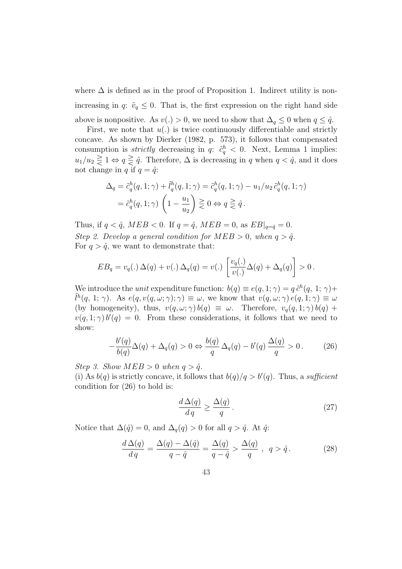where  $\Delta$  is defined as in the proof of Proposition 1. Indirect utility is nonincreasing in q:  $\tilde{v}_q \leq 0$ . That is, the first expression on the right hand side above is nonpositive. As  $v(.) > 0$ , we need to show that  $\Delta_q \leq 0$  when  $q \leq \hat{q}$ .

First, we note that  $u(.)$  is twice continuously differentiable and strictly concave. As shown by Dierker (1982, p. 573), it follows that compensated consumption is *strictly* decreasing in  $q: \tilde{c}_q^h < 0$ . Next, Lemma 1 implies:  $u_1/u_2 \geq 1 \Leftrightarrow q \geq \hat{q}$ . Therefore,  $\Delta$  is decreasing in q when  $q < \hat{q}$ , and it does not change in q if  $q = \hat{q}$ :

$$
\Delta_q = \tilde{c}_q^h(q, 1; \gamma) + \tilde{l}_q^h(q, 1; \gamma) = \tilde{c}_q^h(q, 1; \gamma) - u_1/u_2 \tilde{c}_q^h(q, 1; \gamma)
$$
  
=  $\tilde{c}_q^h(q, 1; \gamma) \left(1 - \frac{u_1}{u_2}\right) \geq 0 \Leftrightarrow q \geq \hat{q}.$ 

Thus, if  $q < \hat{q}$ , MEB  $< 0$ . If  $q = \hat{q}$ , MEB  $= 0$ , as  $EB|_{q = \hat{q}} = 0$ . Step 2. Develop a general condition for  $MED > 0$ , when  $q > \hat{q}$ . For  $q > \hat{q}$ , we want to demonstrate that:

$$
EB_q = v_q(.) \Delta(q) + v(.) \Delta_q(q) = v(.) \left[ \frac{v_q(.)}{v(.)} \Delta(q) + \Delta_q(q) \right] > 0.
$$

We introduce the *unit* expenditure function:  $b(q) \equiv e(q, 1; \gamma) = q \tilde{c}^h(q, 1; \gamma) +$  $\tilde{l}^h(q, 1; \gamma)$ . As  $e(q, v(q, \omega; \gamma); \gamma) \equiv \omega$ , we know that  $v(q, \omega; \gamma) e(q, 1; \gamma) \equiv \omega$ (by homogeneity), thus,  $v(q, \omega; \gamma) b(q) \equiv \omega$ . Therefore,  $v_q(q, 1; \gamma) b(q)$  +  $v(q, 1; \gamma) b'(q) = 0$ . From these considerations, it follows that we need to show:

$$
-\frac{b'(q)}{b(q)}\Delta(q) + \Delta_q(q) > 0 \Leftrightarrow \frac{b(q)}{q} \Delta_q(q) - b'(q) \frac{\Delta(q)}{q} > 0. \tag{26}
$$

Step 3. Show  $MEB > 0$  when  $q > \hat{q}$ .

(i) As  $b(q)$  is strictly concave, it follows that  $b(q)/q > b'(q)$ . Thus, a sufficient condition for (26) to hold is:

$$
\frac{d\,\Delta(q)}{d\,q} \ge \frac{\Delta(q)}{q} \,. \tag{27}
$$

Notice that  $\Delta(\hat{q}) = 0$ , and  $\Delta_q(q) > 0$  for all  $q > \hat{q}$ . At  $\hat{q}$ :

$$
\frac{d\Delta(q)}{dq} = \frac{\Delta(q) - \Delta(\hat{q})}{q - \hat{q}} = \frac{\Delta(q)}{q - \hat{q}} > \frac{\Delta(q)}{q}, \ q > \hat{q}.
$$
 (28)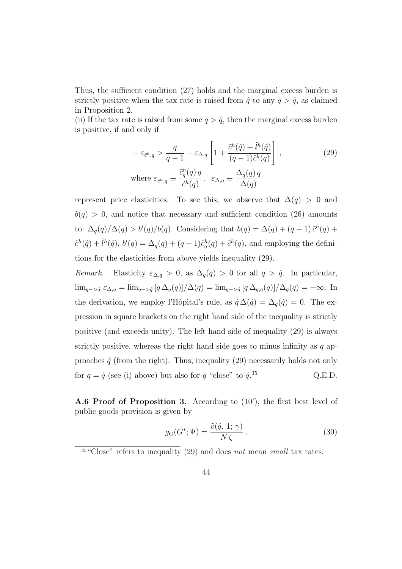Thus, the sufficient condition (27) holds and the marginal excess burden is strictly positive when the tax rate is raised from  $\hat{q}$  to any  $q > \hat{q}$ , as claimed in Proposition 2.

(ii) If the tax rate is raised from some  $q > \hat{q}$ , then the marginal excess burden is positive, if and only if

$$
-\varepsilon_{\tilde{c}^h,q} > \frac{q}{q-1} - \varepsilon_{\Delta,q} \left[ 1 + \frac{\tilde{c}^h(\hat{q}) + \tilde{l}^h(\hat{q})}{(q-1)\tilde{c}^h(q)} \right],
$$
\n
$$
\text{where } \varepsilon_{\tilde{c}^h,q} \equiv \frac{\tilde{c}^h_q(q) q}{\tilde{c}^h(q)}, \ \varepsilon_{\Delta,q} \equiv \frac{\Delta_q(q) q}{\Delta(q)}
$$
\n(29)

represent price elasticities. To see this, we observe that  $\Delta(q) > 0$  and  $b(q) > 0$ , and notice that necessary and sufficient condition (26) amounts to:  $\Delta_q(q)/\Delta(q) > b'(q)/b(q)$ . Considering that  $b(q) = \Delta(q) + (q-1)\tilde{c}^h(q) +$  $\tilde{c}^h(\hat{q}) + \tilde{l}^h(\hat{q}), b'(q) = \Delta_q(q) + (q-1)\tilde{c}_q^h(q) + \tilde{c}_q^h(q),$  and employing the definitions for the elasticities from above yields inequality (29).

Remark. Elasticity  $\varepsilon_{\Delta,q} > 0$ , as  $\Delta_q(q) > 0$  for all  $q > \hat{q}$ . In particular,  $\lim_{q \to \hat{q}} \varepsilon_{\Delta,q} = \lim_{q \to \hat{q}} [q \Delta_q(q)]/\Delta(q) = \lim_{q \to \hat{q}} [q \Delta_{q,q}(q)]/\Delta_q(q) = +\infty.$  In the derivation, we employ l'Hôpital's rule, as  $\hat{q} \Delta(\hat{q}) = \Delta_q(\hat{q}) = 0$ . The expression in square brackets on the right hand side of the inequality is strictly positive (and exceeds unity). The left hand side of inequality (29) is always strictly positive, whereas the right hand side goes to minus infinity as  $q$  approaches  $\hat{q}$  (from the right). Thus, inequality (29) necessarily holds not only for  $q = \hat{q}$  (see (i) above) but also for q "close" to  $\hat{q}$ .<sup>35</sup>  $Q.E.D.$ 

A.6 Proof of Proposition 3. According to (10'), the first best level of public goods provision is given by

$$
g_G(G^*; \Psi) = \frac{\tilde{v}(\hat{q}, 1; \gamma)}{N \zeta}, \qquad (30)
$$

 $35\,\text{°Close}$  refers to inequality (29) and does not mean small tax rates.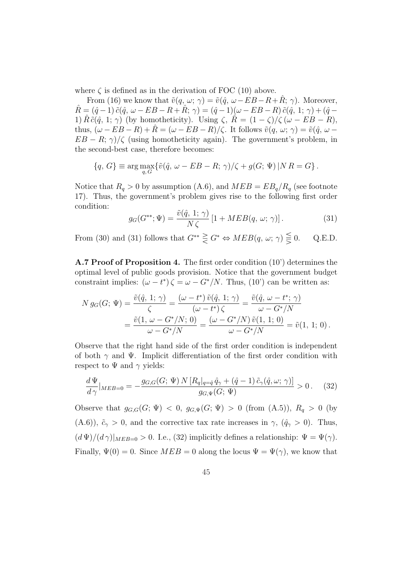where  $\zeta$  is defined as in the derivation of FOC (10) above.

From (16) we know that  $\tilde{v}(q, \omega; \gamma) = \tilde{v}(\hat{q}, \omega - EB - R + \hat{R}; \gamma)$ . Moreover,  $\hat{R} = (\hat{q} - 1) \tilde{c}(\hat{q}, \omega - EB - R + \hat{R}; \gamma) = (\hat{q} - 1)(\omega - EB - R) \tilde{c}(\hat{q}, 1; \gamma) + (\hat{q} -$ 1)  $\tilde{R}\tilde{c}(\hat{q}, 1; \gamma)$  (by homotheticity). Using  $\zeta$ ,  $\tilde{R} = (1 - \zeta)/\zeta (\omega - EB - R)$ , thus,  $(\omega - EB - R) + \hat{R} = (\omega - EB - R)/\zeta$ . It follows  $\tilde{v}(q, \omega; \gamma) = \tilde{v}(\hat{q}, \omega EB - R; \gamma$ / $\zeta$  (using homotheticity again). The government's problem, in the second-best case, therefore becomes:

$$
\{q, G\} \equiv \arg \max_{q, G} \{ \tilde{v}(\hat{q}, \omega - EB - R; \gamma) / \zeta + g(G; \Psi) | NR = G \}.
$$

Notice that  $R_q > 0$  by assumption (A.6), and  $MED = EB_q/R_q$  (see footnote 17). Thus, the government's problem gives rise to the following first order condition:

$$
g_G(G^{**}; \Psi) = \frac{\tilde{v}(\hat{q}, 1; \gamma)}{N \zeta} \left[1 + MEB(q, \omega; \gamma)\right]. \tag{31}
$$

From (30) and (31) follows that  $G^{**} \geq G^* \Leftrightarrow MEB(q, \omega; \gamma) \leq 0$ . Q.E.D.

A.7 Proof of Proposition 4. The first order condition (10') determines the optimal level of public goods provision. Notice that the government budget constraint implies:  $(\omega - t^*) \zeta = \omega - G^*/N$ . Thus, (10') can be written as:

$$
N g_G(G; \Psi) = \frac{\tilde{v}(\hat{q}, 1; \gamma)}{\zeta} = \frac{(\omega - t^*) \tilde{v}(\hat{q}, 1; \gamma)}{(\omega - t^*) \zeta} = \frac{\tilde{v}(\hat{q}, \omega - t^*; \gamma)}{\omega - G^*/N}
$$
  
= 
$$
\frac{\tilde{v}(1, \omega - G^*/N; 0)}{\omega - G^*/N} = \frac{(\omega - G^*/N) \tilde{v}(1, 1; 0)}{\omega - G^*/N} = \tilde{v}(1, 1; 0).
$$

Observe that the right hand side of the first order condition is independent of both  $\gamma$  and  $\Psi$ . Implicit differentiation of the first order condition with respect to  $\Psi$  and  $\gamma$  yields:

$$
\frac{d\Psi}{d\gamma}|_{MEB=0} = -\frac{g_{G,G}(G; \Psi) N [R_q|_{q=\hat{q}} \hat{q}_{\gamma} + (\hat{q}-1) \tilde{c}_{\gamma}(\hat{q}, \omega; \gamma)]}{g_{G,\Psi}(G; \Psi)} > 0. \quad (32)
$$

Observe that  $g_{G,G}(G; \Psi) < 0$ ,  $g_{G,\Psi}(G; \Psi) > 0$  (from (A.5)),  $R_q > 0$  (by (A.6)),  $\tilde{c}_{\gamma} > 0$ , and the corrective tax rate increases in  $\gamma$ ,  $(\hat{q}_{\gamma} > 0)$ . Thus,  $(d \Psi)/(d \gamma)|_{MEB=0} > 0$ . I.e., (32) implicitly defines a relationship:  $\Psi = \Psi(\gamma)$ . Finally,  $\Psi(0) = 0$ . Since  $MEB = 0$  along the locus  $\Psi = \Psi(\gamma)$ , we know that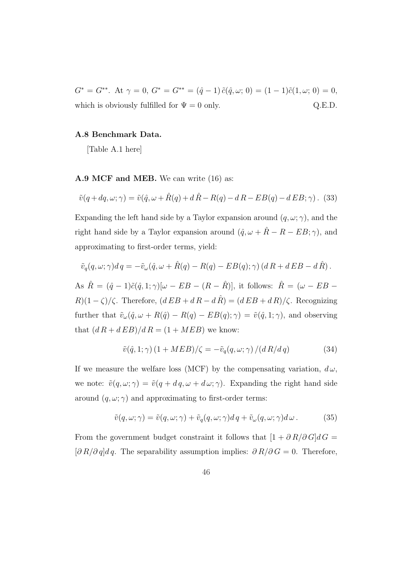$G^* = G^{**}$ . At  $\gamma = 0$ ,  $G^* = G^{**} = (\hat{q} - 1) \tilde{c}(\hat{q}, \omega; 0) = (1 - 1)\tilde{c}(1, \omega; 0) = 0$ , which is obviously fulfilled for  $\Psi = 0$  only. Q.E.D.

#### A.8 Benchmark Data.

[Table A.1 here]

#### A.9 MCF and MEB. We can write (16) as:

$$
\tilde{v}(q+dq,\omega;\gamma) = \tilde{v}(\hat{q},\omega + \hat{R}(q) + d\hat{R} - R(q) - dR - EB(q) - dEB;\gamma).
$$
 (33)

Expanding the left hand side by a Taylor expansion around  $(q, \omega; \gamma)$ , and the right hand side by a Taylor expansion around  $(\hat{q}, \omega + \hat{R} - R - EB; \gamma)$ , and approximating to first-order terms, yield:

$$
\tilde{v}_q(q,\omega;\gamma)d\,q = -\tilde{v}_\omega(\hat{q},\omega + \hat{R}(q) - R(q) - EB(q);\gamma) (d\,R + d\,EB - d\,\hat{R}).
$$

As  $\hat{R} = (\hat{q} - 1)\tilde{c}(\hat{q}, 1; \gamma)[\omega - EB - (R - \hat{R})],$  it follows:  $\hat{R} = (\omega - EB R(1-\zeta)/\zeta$ . Therefore,  $(dEB + dR - d\hat{R}) = (dEB + dR)/\zeta$ . Recognizing further that  $\tilde{v}_{\omega}(\hat{q}, \omega + R(\hat{q}) - R(q) - EB(q); \gamma) = \tilde{v}(\hat{q}, 1; \gamma)$ , and observing that  $(dR + dEB)/dR = (1 + MEB)$  we know:

$$
\tilde{v}(\hat{q}, 1; \gamma) (1 + MEB) / \zeta = -\tilde{v}_q(q, \omega; \gamma) / (dR/dq)
$$
 (34)

If we measure the welfare loss (MCF) by the compensating variation,  $d\omega$ , we note:  $\tilde{v}(q,\omega;\gamma) = \tilde{v}(q + dq, \omega + d\omega; \gamma)$ . Expanding the right hand side around  $(q, \omega; \gamma)$  and approximating to first-order terms:

$$
\tilde{v}(q,\omega;\gamma) = \tilde{v}(q,\omega;\gamma) + \tilde{v}_q(q,\omega;\gamma)d\,q + \tilde{v}_\omega(q,\omega;\gamma)d\,\omega. \tag{35}
$$

From the government budget constraint it follows that  $[1+\partial \, R/\partial \, G]d\,G=$  $[\partial R/\partial q]dq$ . The separability assumption implies:  $\partial R/\partial G = 0$ . Therefore,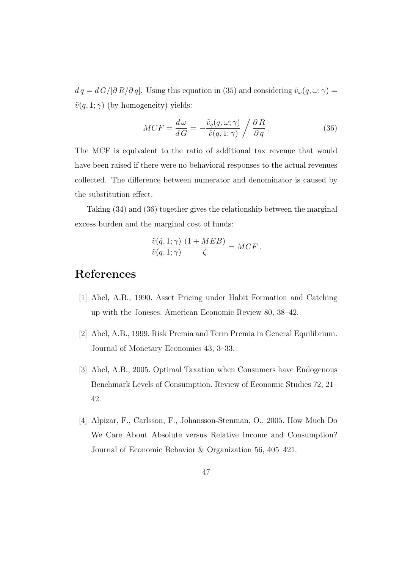$d\,q = d\,G/[\partial R/\partial q]$ . Using this equation in (35) and considering  $\tilde{v}_\omega(q,\omega;\gamma) =$  $\tilde{v}(q, 1; \gamma)$  (by homogeneity) yields:

$$
MCF = \frac{d\,\omega}{d\,G} = -\frac{\tilde{v}_q(q,\omega;\gamma)}{\tilde{v}(q,1;\gamma)} \bigg/ \frac{\partial\,R}{\partial\,q} \,. \tag{36}
$$

The MCF is equivalent to the ratio of additional tax revenue that would have been raised if there were no behavioral responses to the actual revenues collected. The difference between numerator and denominator is caused by the substitution effect.

Taking (34) and (36) together gives the relationship between the marginal excess burden and the marginal cost of funds:

$$
\frac{\tilde{v}(\hat{q}, 1; \gamma)}{\tilde{v}(q, 1; \gamma)} \frac{(1 + MEB)}{\zeta} = MCF.
$$

## References

- [1] Abel, A.B., 1990. Asset Pricing under Habit Formation and Catching up with the Joneses. American Economic Review 80, 38–42.
- [2] Abel, A.B., 1999. Risk Premia and Term Premia in General Equilibrium. Journal of Monetary Economics 43, 3–33.
- [3] Abel, A.B., 2005. Optimal Taxation when Consumers have Endogenous Benchmark Levels of Consumption. Review of Economic Studies 72, 21– 42.
- [4] Alpizar, F., Carlsson, F., Johansson-Stenman, O., 2005. How Much Do We Care About Absolute versus Relative Income and Consumption? Journal of Economic Behavior & Organization 56, 405–421.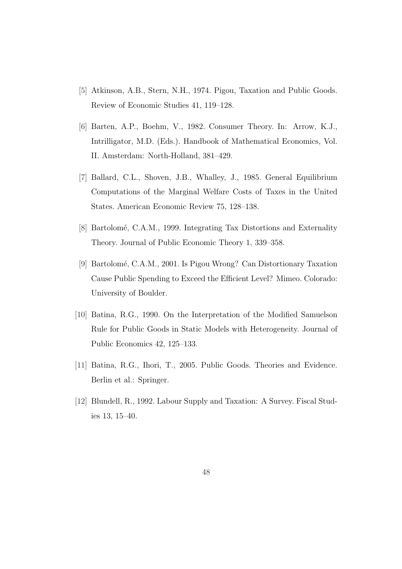- [5] Atkinson, A.B., Stern, N.H., 1974. Pigou, Taxation and Public Goods. Review of Economic Studies 41, 119–128.
- [6] Barten, A.P., Boehm, V., 1982. Consumer Theory. In: Arrow, K.J., Intrilligator, M.D. (Eds.). Handbook of Mathematical Economics, Vol. II. Amsterdam: North-Holland, 381–429.
- [7] Ballard, C.L., Shoven, J.B., Whalley, J., 1985. General Equilibrium Computations of the Marginal Welfare Costs of Taxes in the United States. American Economic Review 75, 128–138.
- [8] Bartolomé, C.A.M., 1999. Integrating Tax Distortions and Externality Theory. Journal of Public Economic Theory 1, 339–358.
- [9] Bartolomé, C.A.M., 2001. Is Pigou Wrong? Can Distortionary Taxation Cause Public Spending to Exceed the Efficient Level? Mimeo. Colorado: University of Boulder.
- [10] Batina, R.G., 1990. On the Interpretation of the Modified Samuelson Rule for Public Goods in Static Models with Heterogeneity. Journal of Public Economics 42, 125–133.
- [11] Batina, R.G., Ihori, T., 2005. Public Goods. Theories and Evidence. Berlin et al.: Springer.
- [12] Blundell, R., 1992. Labour Supply and Taxation: A Survey. Fiscal Studies 13, 15–40.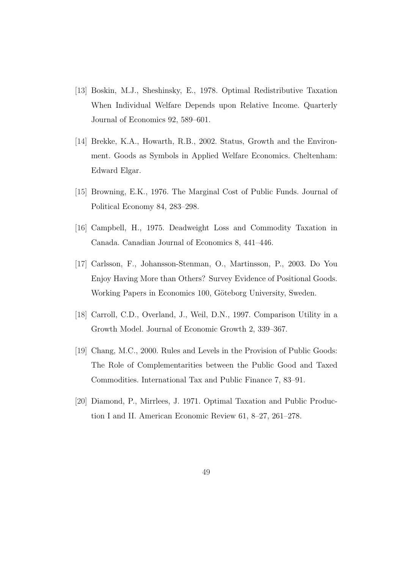- [13] Boskin, M.J., Sheshinsky, E., 1978. Optimal Redistributive Taxation When Individual Welfare Depends upon Relative Income. Quarterly Journal of Economics 92, 589–601.
- [14] Brekke, K.A., Howarth, R.B., 2002. Status, Growth and the Environment. Goods as Symbols in Applied Welfare Economics. Cheltenham: Edward Elgar.
- [15] Browning, E.K., 1976. The Marginal Cost of Public Funds. Journal of Political Economy 84, 283–298.
- [16] Campbell, H., 1975. Deadweight Loss and Commodity Taxation in Canada. Canadian Journal of Economics 8, 441–446.
- [17] Carlsson, F., Johansson-Stenman, O., Martinsson, P., 2003. Do You Enjoy Having More than Others? Survey Evidence of Positional Goods. Working Papers in Economics 100, Göteborg University, Sweden.
- [18] Carroll, C.D., Overland, J., Weil, D.N., 1997. Comparison Utility in a Growth Model. Journal of Economic Growth 2, 339–367.
- [19] Chang, M.C., 2000. Rules and Levels in the Provision of Public Goods: The Role of Complementarities between the Public Good and Taxed Commodities. International Tax and Public Finance 7, 83–91.
- [20] Diamond, P., Mirrlees, J. 1971. Optimal Taxation and Public Production I and II. American Economic Review 61, 8–27, 261–278.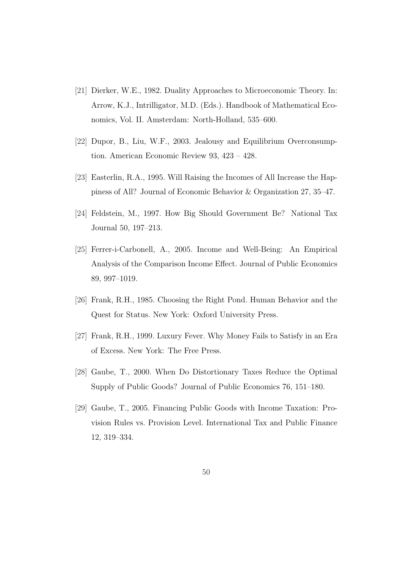- [21] Dierker, W.E., 1982. Duality Approaches to Microeconomic Theory. In: Arrow, K.J., Intrilligator, M.D. (Eds.). Handbook of Mathematical Economics, Vol. II. Amsterdam: North-Holland, 535–600.
- [22] Dupor, B., Liu, W.F., 2003. Jealousy and Equilibrium Overconsumption. American Economic Review 93, 423 – 428.
- [23] Easterlin, R.A., 1995. Will Raising the Incomes of All Increase the Happiness of All? Journal of Economic Behavior & Organization 27, 35–47.
- [24] Feldstein, M., 1997. How Big Should Government Be? National Tax Journal 50, 197–213.
- [25] Ferrer-i-Carbonell, A., 2005. Income and Well-Being: An Empirical Analysis of the Comparison Income Effect. Journal of Public Economics 89, 997–1019.
- [26] Frank, R.H., 1985. Choosing the Right Pond. Human Behavior and the Quest for Status. New York: Oxford University Press.
- [27] Frank, R.H., 1999. Luxury Fever. Why Money Fails to Satisfy in an Era of Excess. New York: The Free Press.
- [28] Gaube, T., 2000. When Do Distortionary Taxes Reduce the Optimal Supply of Public Goods? Journal of Public Economics 76, 151–180.
- [29] Gaube, T., 2005. Financing Public Goods with Income Taxation: Provision Rules vs. Provision Level. International Tax and Public Finance 12, 319–334.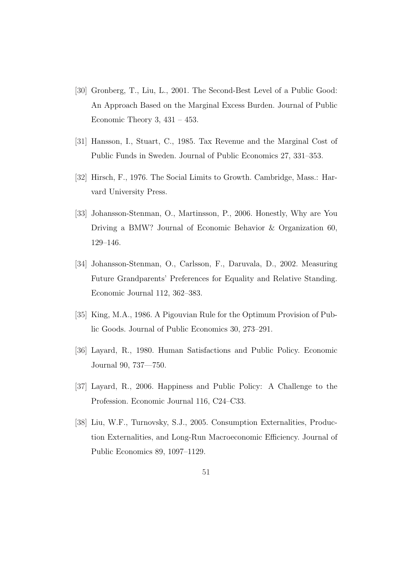- [30] Gronberg, T., Liu, L., 2001. The Second-Best Level of a Public Good: An Approach Based on the Marginal Excess Burden. Journal of Public Economic Theory 3,  $431 - 453$ .
- [31] Hansson, I., Stuart, C., 1985. Tax Revenue and the Marginal Cost of Public Funds in Sweden. Journal of Public Economics 27, 331–353.
- [32] Hirsch, F., 1976. The Social Limits to Growth. Cambridge, Mass.: Harvard University Press.
- [33] Johansson-Stenman, O., Martinsson, P., 2006. Honestly, Why are You Driving a BMW? Journal of Economic Behavior & Organization 60, 129–146.
- [34] Johansson-Stenman, O., Carlsson, F., Daruvala, D., 2002. Measuring Future Grandparents' Preferences for Equality and Relative Standing. Economic Journal 112, 362–383.
- [35] King, M.A., 1986. A Pigouvian Rule for the Optimum Provision of Public Goods. Journal of Public Economics 30, 273–291.
- [36] Layard, R., 1980. Human Satisfactions and Public Policy. Economic Journal 90, 737—750.
- [37] Layard, R., 2006. Happiness and Public Policy: A Challenge to the Profession. Economic Journal 116, C24–C33.
- [38] Liu, W.F., Turnovsky, S.J., 2005. Consumption Externalities, Production Externalities, and Long-Run Macroeconomic Efficiency. Journal of Public Economics 89, 1097–1129.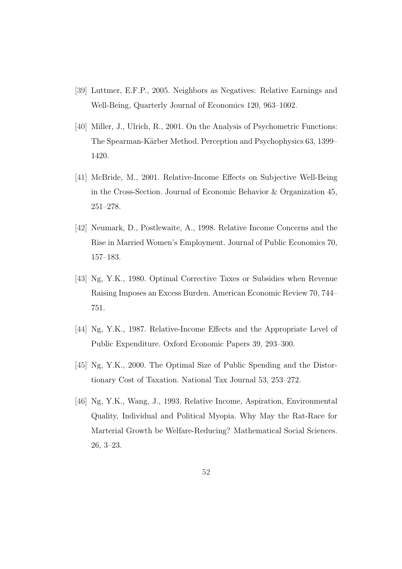- [39] Luttmer, E.F.P., 2005. Neighbors as Negatives: Relative Earnings and Well-Being, Quarterly Journal of Economics 120, 963–1002.
- [40] Miller, J., Ulrich, R., 2001. On the Analysis of Psychometric Functions: The Spearman-Kärber Method. Perception and Psychophysics 63, 1399– 1420.
- [41] McBride, M., 2001. Relative-Income Effects on Subjective Well-Being in the Cross-Section. Journal of Economic Behavior & Organization 45, 251–278.
- [42] Neumark, D., Postlewaite, A., 1998. Relative Income Concerns and the Rise in Married Women's Employment. Journal of Public Economics 70, 157–183.
- [43] Ng, Y.K., 1980. Optimal Corrective Taxes or Subsidies when Revenue Raising Imposes an Excess Burden. American Economic Review 70, 744– 751.
- [44] Ng, Y.K., 1987. Relative-Income Effects and the Appropriate Level of Public Expenditure. Oxford Economic Papers 39, 293–300.
- [45] Ng, Y.K., 2000. The Optimal Size of Public Spending and the Distortionary Cost of Taxation. National Tax Journal 53, 253–272.
- [46] Ng, Y.K., Wang, J., 1993. Relative Income, Aspiration, Environmental Quality, Individual and Political Myopia. Why May the Rat-Race for Marterial Growth be Welfare-Reducing? Mathematical Social Sciences. 26, 3–23.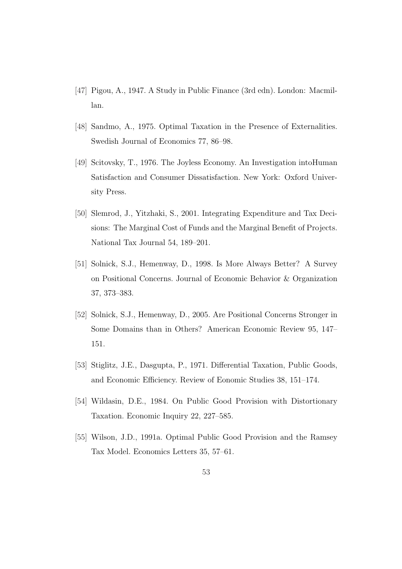- [47] Pigou, A., 1947. A Study in Public Finance (3rd edn). London: Macmillan.
- [48] Sandmo, A., 1975. Optimal Taxation in the Presence of Externalities. Swedish Journal of Economics 77, 86–98.
- [49] Scitovsky, T., 1976. The Joyless Economy. An Investigation intoHuman Satisfaction and Consumer Dissatisfaction. New York: Oxford University Press.
- [50] Slemrod, J., Yitzhaki, S., 2001. Integrating Expenditure and Tax Decisions: The Marginal Cost of Funds and the Marginal Benefit of Projects. National Tax Journal 54, 189–201.
- [51] Solnick, S.J., Hemenway, D., 1998. Is More Always Better? A Survey on Positional Concerns. Journal of Economic Behavior & Organization 37, 373–383.
- [52] Solnick, S.J., Hemenway, D., 2005. Are Positional Concerns Stronger in Some Domains than in Others? American Economic Review 95, 147– 151.
- [53] Stiglitz, J.E., Dasgupta, P., 1971. Differential Taxation, Public Goods, and Economic Efficiency. Review of Eonomic Studies 38, 151–174.
- [54] Wildasin, D.E., 1984. On Public Good Provision with Distortionary Taxation. Economic Inquiry 22, 227–585.
- [55] Wilson, J.D., 1991a. Optimal Public Good Provision and the Ramsey Tax Model. Economics Letters 35, 57–61.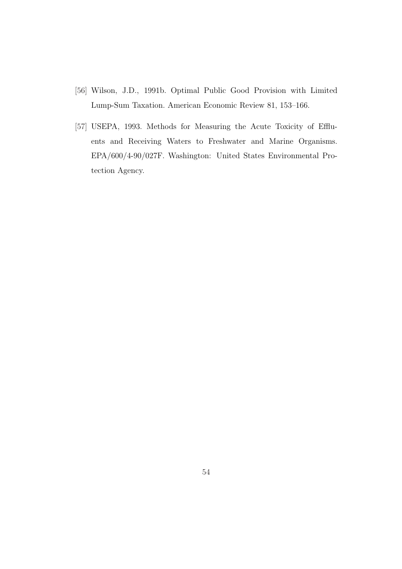- [56] Wilson, J.D., 1991b. Optimal Public Good Provision with Limited Lump-Sum Taxation. American Economic Review 81, 153–166.
- [57] USEPA, 1993. Methods for Measuring the Acute Toxicity of Effluents and Receiving Waters to Freshwater and Marine Organisms. EPA/600/4-90/027F. Washington: United States Environmental Protection Agency.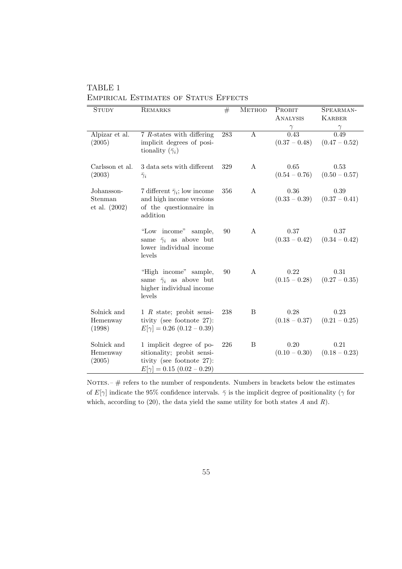| TABLE 1                                      |  |  |  |
|----------------------------------------------|--|--|--|
| <b>EMPIRICAL ESTIMATES OF STATUS EFFECTS</b> |  |  |  |

| <b>STUDY</b>                             | <b>REMARKS</b>                                                                                                          | #   | <b>METHOD</b>  | PROBIT<br>ANALYSIS      | SPEARMAN-<br><b>KARBER</b>               |
|------------------------------------------|-------------------------------------------------------------------------------------------------------------------------|-----|----------------|-------------------------|------------------------------------------|
| Alpizar et al.<br>(2005)                 | $7$ R-states with differing<br>implicit degrees of posi-<br>tionality $(\bar{\gamma}_i)$                                | 283 | $\overline{A}$ | 0.43<br>$(0.37 - 0.48)$ | $\frac{\gamma}{0.49}$<br>$(0.47 - 0.52)$ |
| Carlsson et al.<br>(2003)                | 3 data sets with different<br>$\bar{\gamma}_i$                                                                          | 329 | $\mathbf{A}$   | 0.65<br>$(0.54 - 0.76)$ | 0.53<br>$(0.50 - 0.57)$                  |
| Johansson-<br>Stenman<br>et al. $(2002)$ | 7 different $\bar{\gamma}_i$ ; low income<br>and high income versions<br>of the questionnaire in<br>addition            | 356 | $\mathbf{A}$   | 0.36<br>$(0.33 - 0.39)$ | 0.39<br>$(0.37 - 0.41)$                  |
|                                          | "Low income" sample,<br>same $\bar{\gamma}_i$ as above but<br>lower individual income<br>levels                         | 90  | $\mathbf{A}$   | 0.37<br>$(0.33 - 0.42)$ | 0.37<br>$(0.34 - 0.42)$                  |
|                                          | "High income" sample,<br>same $\bar{\gamma}_i$ as above but<br>higher individual income<br>levels                       | 90  | $\mathbf{A}$   | 0.22<br>$(0.15 - 0.28)$ | 0.31<br>$(0.27 - 0.35)$                  |
| Solnick and<br>Hemenway<br>(1998)        | 1 $R$ state; probit sensi-<br>tivity (see footnote 27):<br>$E[\gamma] = 0.26 (0.12 - 0.39)$                             | 238 | B              | 0.28<br>$(0.18 - 0.37)$ | 0.23<br>$(0.21 - 0.25)$                  |
| Solnick and<br>Hemenway<br>(2005)        | 1 implicit degree of po-<br>sitionality; probit sensi-<br>tivity (see footnote 27):<br>$E[\gamma] = 0.15 (0.02 - 0.29)$ | 226 | B              | 0.20<br>$(0.10 - 0.30)$ | 0.21<br>$(0.18 - 0.23)$                  |

NOTES. $\#$  refers to the number of respondents. Numbers in brackets below the estimates of  $E[\gamma]$  indicate the 95% confidence intervals.  $\bar{\gamma}$  is the implicit degree of positionality ( $\gamma$  for which, according to  $(20)$ , the data yield the same utility for both states  $A$  and  $R$ ).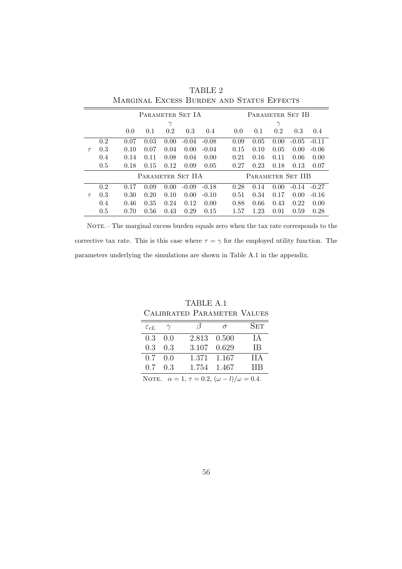|                   |     | PARAMETER SET IA |      |          |         |                   |      | PARAMETER SET IB |          |         |         |
|-------------------|-----|------------------|------|----------|---------|-------------------|------|------------------|----------|---------|---------|
|                   |     |                  |      | $\gamma$ |         |                   |      |                  | $\gamma$ |         |         |
|                   |     | 0.0              | 0.1  | 0.2      | 0.3     | 0.4               | 0.0  | 0.1              | 0.2      | 0.3     | 0.4     |
|                   | 0.2 | 0.07             | 0.03 | 0.00     | $-0.04$ | $-0.08$           | 0.09 | 0.05             | 0.00     | $-0.05$ | $-0.11$ |
| $\tau$            | 0.3 | 0.10             | 0.07 | 0.04     | 0.00    | $-0.04$           | 0.15 | 0.10             | 0.05     | 0.00    | $-0.06$ |
|                   | 0.4 | 0.14             | 0.11 | 0.08     | 0.04    | 0.00              | 0.21 | 0.16             | 0.11     | 0.06    | 0.00    |
|                   | 0.5 | 0.18             | 0.15 | 0.12     | 0.09    | 0.05              | 0.27 | 0.23             | 0.18     | 0.13    | 0.07    |
| PARAMETER SET IIA |     |                  |      |          |         | PARAMETER SET IIB |      |                  |          |         |         |
|                   | 0.2 | 0.17             | 0.09 | 0.00     | $-0.09$ | $-0.18$           | 0.28 | 0.14             | 0.00     | $-0.14$ | $-0.27$ |
| $\tau$            | 0.3 | 0.30             | 0.20 | 0.10     | 0.00    | $-0.10$           | 0.51 | 0.34             | 0.17     | 0.00    | $-0.16$ |
|                   | 0.4 | 0.46             | 0.35 | 0.24     | 0.12    | 0.00              | 0.88 | 0.66             | 0.43     | 0.22    | 0.00    |
|                   | 0.5 | 0.70             | 0.56 | 0.43     | 0.29    | 0.15              | 1.57 | 1.23             | 0.91     | 0.59    | 0.28    |

TABLE 2 MARGINAL EXCESS BURDEN AND STATUS EFFECTS

NOTE. – The marginal excess burden equals zero when the tax rate corresponds to the corrective tax rate. This is this case where  $\tau = \gamma$  for the employed utility function. The parameters underlying the simulations are shown in Table A.1 in the appendix.

| TABLE A.1<br>CALIBRATED PARAMETER VALUES                   |     |             |       |            |  |  |  |  |
|------------------------------------------------------------|-----|-------------|-------|------------|--|--|--|--|
| SET<br>$\varepsilon_{cL}$<br>$\gamma$<br>$\sigma$          |     |             |       |            |  |  |  |  |
| 0.3                                                        | 0.0 | 2.813       | 0.500 | IА         |  |  |  |  |
| 0.3                                                        | 0.3 | 3.107       | 0.629 | ΙB         |  |  |  |  |
| 0.7                                                        | 0.0 | 1.371 1.167 |       | <b>IIA</b> |  |  |  |  |
| 0.7                                                        | 0.3 | 1.754       | 1.467 | HВ         |  |  |  |  |
| NOTE. $\alpha = 1, \tau = 0.2, (\omega - l)/\omega = 0.4.$ |     |             |       |            |  |  |  |  |